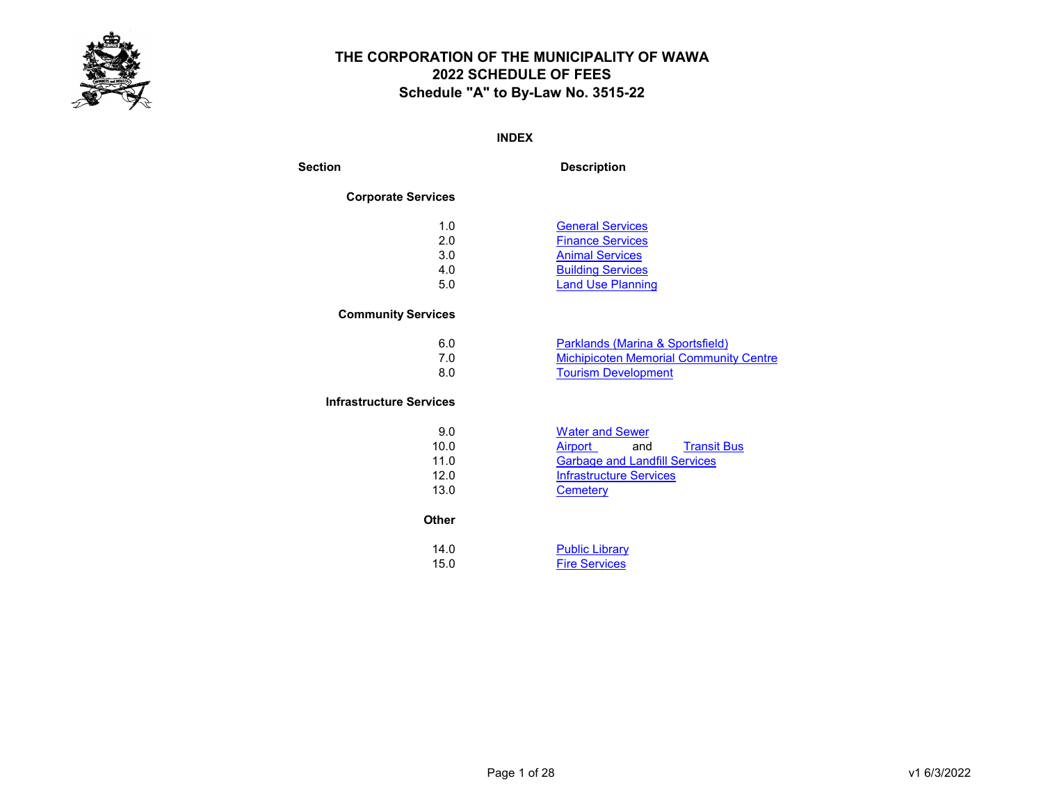

#### INDEX

Section Description

#### Corporate Services

| 1.0 | <b>General Services</b>  |
|-----|--------------------------|
| 2.0 | <b>Finance Services</b>  |
| 3.0 | <b>Animal Services</b>   |
| 4.0 | <b>Building Services</b> |
| 5.0 | <b>Land Use Planning</b> |
|     |                          |

#### Community Services

| 6.0 | Parklands (Marina & Sportsfield)              |
|-----|-----------------------------------------------|
|     | <b>Michipicoten Memorial Community Centre</b> |
| 8.0 | <b>Tourism Development</b>                    |

#### Infrastructure Services

| 9.0  | <b>Water and Sewer</b>               |
|------|--------------------------------------|
| 10.0 | <b>Transit Bus</b><br>Airport<br>and |
| 11.0 | <b>Garbage and Landfill Services</b> |
| 12.0 | Infrastructure Services              |
| 13.0 | Cemeterv                             |

#### **Other**

| 14.0 | <b>Public Library</b> |
|------|-----------------------|
| 15.0 | <b>Fire Services</b>  |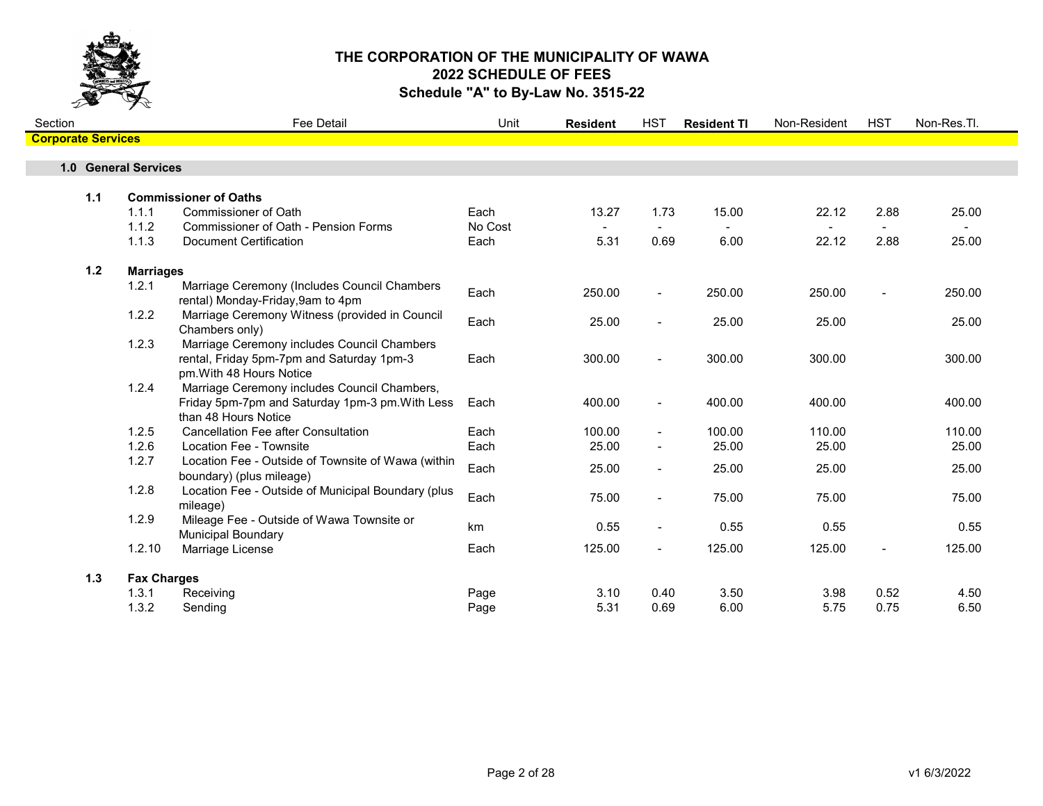

| Section                   |       |                      | <b>Fee Detail</b>                                                                                                       | Unit    | <b>Resident</b> | <b>HST</b>               | <b>Resident TI</b> | Non-Resident | <b>HST</b> | Non-Res.Tl. |  |
|---------------------------|-------|----------------------|-------------------------------------------------------------------------------------------------------------------------|---------|-----------------|--------------------------|--------------------|--------------|------------|-------------|--|
| <b>Corporate Services</b> |       |                      |                                                                                                                         |         |                 |                          |                    |              |            |             |  |
|                           |       | 1.0 General Services |                                                                                                                         |         |                 |                          |                    |              |            |             |  |
|                           |       |                      |                                                                                                                         |         |                 |                          |                    |              |            |             |  |
|                           | $1.1$ |                      | <b>Commissioner of Oaths</b>                                                                                            |         |                 |                          |                    |              |            |             |  |
|                           |       | 1.1.1                | <b>Commissioner of Oath</b>                                                                                             | Each    | 13.27           | 1.73                     | 15.00              | 22.12        | 2.88       | 25.00       |  |
|                           |       | 1.1.2                | Commissioner of Oath - Pension Forms                                                                                    | No Cost |                 |                          |                    |              |            |             |  |
|                           |       | 1.1.3                | <b>Document Certification</b>                                                                                           | Each    | 5.31            | 0.69                     | 6.00               | 22.12        | 2.88       | 25.00       |  |
|                           | $1.2$ | <b>Marriages</b>     |                                                                                                                         |         |                 |                          |                    |              |            |             |  |
|                           |       | 1.2.1                | Marriage Ceremony (Includes Council Chambers<br>rental) Monday-Friday, 9am to 4pm                                       | Each    | 250.00          | $\overline{\phantom{a}}$ | 250.00             | 250.00       |            | 250.00      |  |
|                           |       | 1.2.2                | Marriage Ceremony Witness (provided in Council<br>Chambers only)                                                        | Each    | 25.00           |                          | 25.00              | 25.00        |            | 25.00       |  |
|                           |       | 1.2.3                | Marriage Ceremony includes Council Chambers<br>rental, Friday 5pm-7pm and Saturday 1pm-3<br>pm. With 48 Hours Notice    | Each    | 300.00          | $\blacksquare$           | 300.00             | 300.00       |            | 300.00      |  |
|                           |       | 1.2.4                | Marriage Ceremony includes Council Chambers,<br>Friday 5pm-7pm and Saturday 1pm-3 pm. With Less<br>than 48 Hours Notice | Each    | 400.00          |                          | 400.00             | 400.00       |            | 400.00      |  |
|                           |       | 1.2.5                | Cancellation Fee after Consultation                                                                                     | Each    | 100.00          | $\blacksquare$           | 100.00             | 110.00       |            | 110.00      |  |
|                           |       | 1.2.6                | Location Fee - Townsite                                                                                                 | Each    | 25.00           | $\blacksquare$           | 25.00              | 25.00        |            | 25.00       |  |
|                           |       | 1.2.7                | Location Fee - Outside of Townsite of Wawa (within<br>boundary) (plus mileage)                                          | Each    | 25.00           | $\overline{\phantom{0}}$ | 25.00              | 25.00        |            | 25.00       |  |
|                           |       | 1.2.8                | Location Fee - Outside of Municipal Boundary (plus<br>mileage)                                                          | Each    | 75.00           | $\blacksquare$           | 75.00              | 75.00        |            | 75.00       |  |
|                           |       | 1.2.9                | Mileage Fee - Outside of Wawa Townsite or<br><b>Municipal Boundary</b>                                                  | km      | 0.55            | $\blacksquare$           | 0.55               | 0.55         |            | 0.55        |  |
|                           |       | 1.2.10               | Marriage License                                                                                                        | Each    | 125.00          | $\blacksquare$           | 125.00             | 125.00       |            | 125.00      |  |
|                           | 1.3   | <b>Fax Charges</b>   |                                                                                                                         |         |                 |                          |                    |              |            |             |  |
|                           |       | 1.3.1                | Receiving                                                                                                               | Page    | 3.10            | 0.40                     | 3.50               | 3.98         | 0.52       | 4.50        |  |
|                           |       | 1.3.2                | Sending                                                                                                                 | Page    | 5.31            | 0.69                     | 6.00               | 5.75         | 0.75       | 6.50        |  |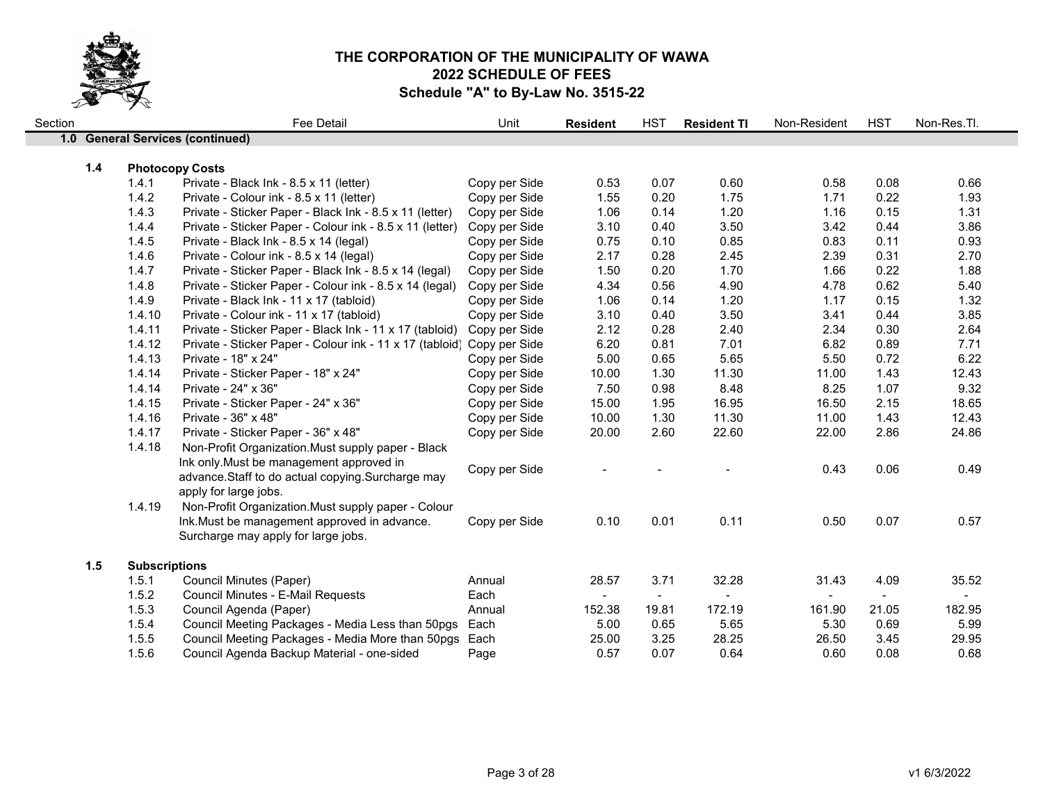

| Section |     |                      | Fee Detail                                                             | Unit          | <b>Resident</b> | <b>HST</b>     | <b>Resident TI</b> | Non-Resident | <b>HST</b>     | Non-Res.Tl.    |
|---------|-----|----------------------|------------------------------------------------------------------------|---------------|-----------------|----------------|--------------------|--------------|----------------|----------------|
|         |     |                      | 1.0 General Services (continued)                                       |               |                 |                |                    |              |                |                |
|         |     |                      |                                                                        |               |                 |                |                    |              |                |                |
|         | 1.4 |                      | <b>Photocopy Costs</b>                                                 |               |                 |                |                    |              |                |                |
|         |     | 1.4.1                | Private - Black Ink - 8.5 x 11 (letter)                                | Copy per Side | 0.53            | 0.07           | 0.60               | 0.58         | 0.08           | 0.66           |
|         |     | 1.4.2                | Private - Colour ink - 8.5 x 11 (letter)                               | Copy per Side | 1.55            | 0.20           | 1.75               | 1.71         | 0.22           | 1.93           |
|         |     | 1.4.3                | Private - Sticker Paper - Black Ink - 8.5 x 11 (letter)                | Copy per Side | 1.06            | 0.14           | 1.20               | 1.16         | 0.15           | 1.31           |
|         |     | 1.4.4                | Private - Sticker Paper - Colour ink - 8.5 x 11 (letter)               | Copy per Side | 3.10            | 0.40           | 3.50               | 3.42         | 0.44           | 3.86           |
|         |     | 1.4.5                | Private - Black Ink - 8.5 x 14 (legal)                                 | Copy per Side | 0.75            | 0.10           | 0.85               | 0.83         | 0.11           | 0.93           |
|         |     | 1.4.6                | Private - Colour ink - 8.5 x 14 (legal)                                | Copy per Side | 2.17            | 0.28           | 2.45               | 2.39         | 0.31           | 2.70           |
|         |     | 1.4.7                | Private - Sticker Paper - Black Ink - 8.5 x 14 (legal)                 | Copy per Side | 1.50            | 0.20           | 1.70               | 1.66         | 0.22           | 1.88           |
|         |     | 1.4.8                | Private - Sticker Paper - Colour ink - 8.5 x 14 (legal)                | Copy per Side | 4.34            | 0.56           | 4.90               | 4.78         | 0.62           | 5.40           |
|         |     | 1.4.9                | Private - Black Ink - 11 x 17 (tabloid)                                | Copy per Side | 1.06            | 0.14           | 1.20               | 1.17         | 0.15           | 1.32           |
|         |     | 1.4.10               | Private - Colour ink - 11 x 17 (tabloid)                               | Copy per Side | 3.10            | 0.40           | 3.50               | 3.41         | 0.44           | 3.85           |
|         |     | 1.4.11               | Private - Sticker Paper - Black Ink - 11 x 17 (tabloid)                | Copy per Side | 2.12            | 0.28           | 2.40               | 2.34         | 0.30           | 2.64           |
|         |     | 1.4.12               | Private - Sticker Paper - Colour ink - 11 x 17 (tabloid) Copy per Side |               | 6.20            | 0.81           | 7.01               | 6.82         | 0.89           | 7.71           |
|         |     | 1.4.13               | Private - 18" x 24"                                                    | Copy per Side | 5.00            | 0.65           | 5.65               | 5.50         | 0.72           | 6.22           |
|         |     | 1.4.14               | Private - Sticker Paper - 18" x 24"                                    | Copy per Side | 10.00           | 1.30           | 11.30              | 11.00        | 1.43           | 12.43          |
|         |     | 1.4.14               | Private - 24" x 36"                                                    | Copy per Side | 7.50            | 0.98           | 8.48               | 8.25         | 1.07           | 9.32           |
|         |     | 1.4.15               | Private - Sticker Paper - 24" x 36"                                    | Copy per Side | 15.00           | 1.95           | 16.95              | 16.50        | 2.15           | 18.65          |
|         |     | 1.4.16               | Private - 36" x 48"                                                    | Copy per Side | 10.00           | 1.30           | 11.30              | 11.00        | 1.43           | 12.43          |
|         |     | 1.4.17               | Private - Sticker Paper - 36" x 48"                                    | Copy per Side | 20.00           | 2.60           | 22.60              | 22.00        | 2.86           | 24.86          |
|         |     | 1.4.18               | Non-Profit Organization. Must supply paper - Black                     |               |                 |                |                    |              |                |                |
|         |     |                      | Ink only. Must be management approved in                               |               |                 |                |                    |              |                |                |
|         |     |                      | advance.Staff to do actual copying.Surcharge may                       | Copy per Side |                 |                |                    | 0.43         | 0.06           | 0.49           |
|         |     |                      | apply for large jobs.                                                  |               |                 |                |                    |              |                |                |
|         |     | 1.4.19               | Non-Profit Organization. Must supply paper - Colour                    |               |                 |                |                    |              |                |                |
|         |     |                      | Ink. Must be management approved in advance.                           | Copy per Side | 0.10            | 0.01           | 0.11               | 0.50         | 0.07           | 0.57           |
|         |     |                      | Surcharge may apply for large jobs.                                    |               |                 |                |                    |              |                |                |
|         |     |                      |                                                                        |               |                 |                |                    |              |                |                |
|         | 1.5 | <b>Subscriptions</b> |                                                                        |               |                 |                |                    |              |                |                |
|         |     | 1.5.1                | Council Minutes (Paper)                                                | Annual        | 28.57           | 3.71           | 32.28              | 31.43        | 4.09           | 35.52          |
|         |     | 1.5.2                | Council Minutes - E-Mail Requests                                      | Each          | $\sim$          | $\blacksquare$ |                    | $\sim$       | $\blacksquare$ | $\blacksquare$ |
|         |     | 1.5.3                | Council Agenda (Paper)                                                 | Annual        | 152.38          | 19.81          | 172.19             | 161.90       | 21.05          | 182.95         |
|         |     | 1.5.4                | Council Meeting Packages - Media Less than 50pgs                       | Each          | 5.00            | 0.65           | 5.65               | 5.30         | 0.69           | 5.99           |
|         |     | 1.5.5                | Council Meeting Packages - Media More than 50pgs Each                  |               | 25.00           | 3.25           | 28.25              | 26.50        | 3.45           | 29.95          |
|         |     | 1.5.6                | Council Agenda Backup Material - one-sided                             | Page          | 0.57            | 0.07           | 0.64               | 0.60         | 0.08           | 0.68           |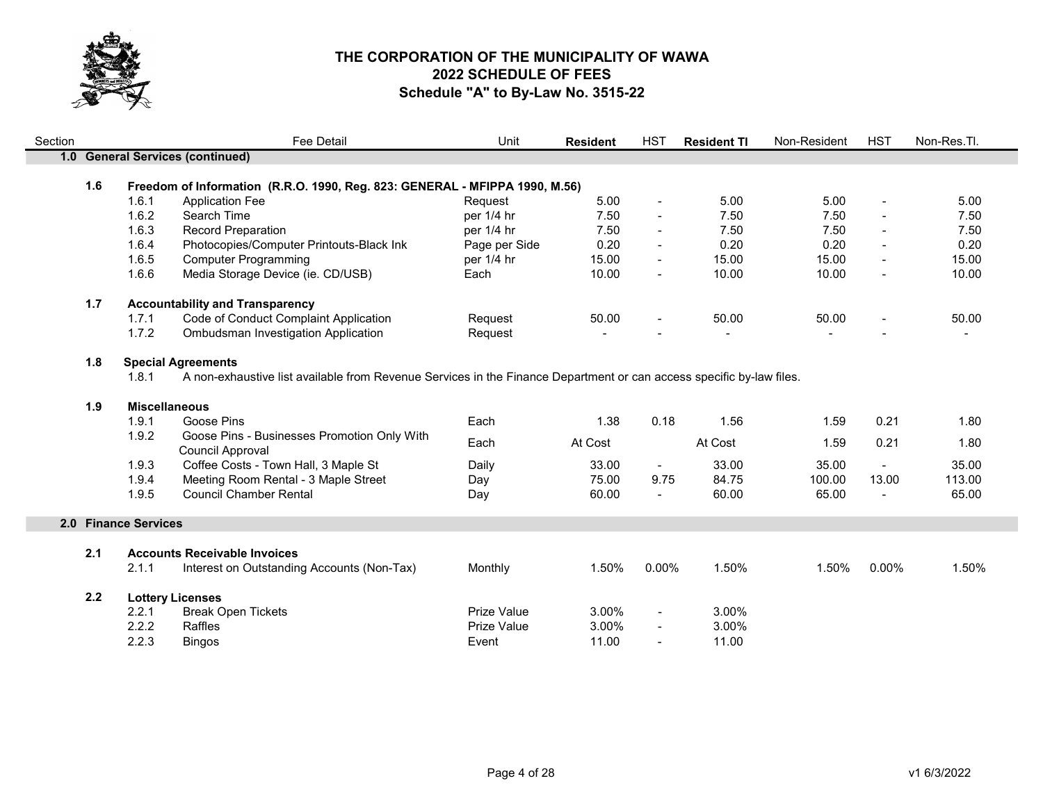

| Section |     |                      | <b>Fee Detail</b>                                                                                                    | Unit          | <b>Resident</b> | <b>HST</b>               | <b>Resident TI</b> | Non-Resident | <b>HST</b>               | Non-Res.Tl. |
|---------|-----|----------------------|----------------------------------------------------------------------------------------------------------------------|---------------|-----------------|--------------------------|--------------------|--------------|--------------------------|-------------|
|         |     |                      | 1.0 General Services (continued)                                                                                     |               |                 |                          |                    |              |                          |             |
|         |     |                      |                                                                                                                      |               |                 |                          |                    |              |                          |             |
|         | 1.6 |                      | Freedom of Information (R.R.O. 1990, Reg. 823: GENERAL - MFIPPA 1990, M.56)                                          |               |                 |                          |                    |              |                          |             |
|         |     | 1.6.1                | <b>Application Fee</b>                                                                                               | Request       | 5.00            | $\blacksquare$           | 5.00               | 5.00         | $\blacksquare$           | 5.00        |
|         |     | 1.6.2                | Search Time                                                                                                          | per 1/4 hr    | 7.50            | $\sim$                   | 7.50               | 7.50         |                          | 7.50        |
|         |     | 1.6.3                | Record Preparation                                                                                                   | per 1/4 hr    | 7.50            | $\blacksquare$           | 7.50               | 7.50         | $\blacksquare$           | 7.50        |
|         |     | 1.6.4                | Photocopies/Computer Printouts-Black Ink                                                                             | Page per Side | 0.20            |                          | 0.20               | 0.20         | $\blacksquare$           | 0.20        |
|         |     | 1.6.5                | <b>Computer Programming</b>                                                                                          | per 1/4 hr    | 15.00           | $\blacksquare$           | 15.00              | 15.00        | $\blacksquare$           | 15.00       |
|         |     | 1.6.6                | Media Storage Device (ie. CD/USB)                                                                                    | Each          | 10.00           | $\blacksquare$           | 10.00              | 10.00        | $\blacksquare$           | 10.00       |
|         | 1.7 |                      | <b>Accountability and Transparency</b>                                                                               |               |                 |                          |                    |              |                          |             |
|         |     | 1.7.1                | Code of Conduct Complaint Application                                                                                | Request       | 50.00           |                          | 50.00              | 50.00        | $\overline{\phantom{a}}$ | 50.00       |
|         |     | 1.7.2                | Ombudsman Investigation Application                                                                                  | Request       |                 |                          |                    |              |                          |             |
|         | 1.8 |                      | <b>Special Agreements</b>                                                                                            |               |                 |                          |                    |              |                          |             |
|         |     | 1.8.1                | A non-exhaustive list available from Revenue Services in the Finance Department or can access specific by-law files. |               |                 |                          |                    |              |                          |             |
|         |     |                      |                                                                                                                      |               |                 |                          |                    |              |                          |             |
|         | 1.9 | <b>Miscellaneous</b> |                                                                                                                      |               |                 |                          |                    |              |                          |             |
|         |     | 1.9.1                | Goose Pins                                                                                                           | Each          | 1.38            | 0.18                     | 1.56               | 1.59         | 0.21                     | 1.80        |
|         |     | 1.9.2                | Goose Pins - Businesses Promotion Only With<br>Council Approval                                                      | Each          | At Cost         |                          | At Cost            | 1.59         | 0.21                     | 1.80        |
|         |     | 1.9.3                | Coffee Costs - Town Hall, 3 Maple St                                                                                 | Daily         | 33.00           | $\sim$                   | 33.00              | 35.00        | $\blacksquare$           | 35.00       |
|         |     | 1.9.4                | Meeting Room Rental - 3 Maple Street                                                                                 | Day           | 75.00           | 9.75                     | 84.75              | 100.00       | 13.00                    | 113.00      |
|         |     | 1.9.5                | <b>Council Chamber Rental</b>                                                                                        | Day           | 60.00           | $\overline{\phantom{a}}$ | 60.00              | 65.00        | $\overline{\phantom{a}}$ | 65.00       |
|         |     | 2.0 Finance Services |                                                                                                                      |               |                 |                          |                    |              |                          |             |
|         |     |                      |                                                                                                                      |               |                 |                          |                    |              |                          |             |
|         | 2.1 |                      | <b>Accounts Receivable Invoices</b>                                                                                  |               |                 |                          |                    |              |                          |             |
|         |     | 2.1.1                | Interest on Outstanding Accounts (Non-Tax)                                                                           | Monthly       | 1.50%           | $0.00\%$                 | 1.50%              | 1.50%        | 0.00%                    | 1.50%       |
|         | 2.2 |                      | <b>Lottery Licenses</b>                                                                                              |               |                 |                          |                    |              |                          |             |
|         |     | 2.2.1                | <b>Break Open Tickets</b>                                                                                            | Prize Value   | 3.00%           | $\overline{\phantom{a}}$ | 3.00%              |              |                          |             |
|         |     | 2.2.2                | Raffles                                                                                                              | Prize Value   | 3.00%           |                          | 3.00%              |              |                          |             |
|         |     | 2.2.3                | <b>Bingos</b>                                                                                                        | Event         | 11.00           | $\overline{\phantom{a}}$ | 11.00              |              |                          |             |
|         |     |                      |                                                                                                                      |               |                 |                          |                    |              |                          |             |

m.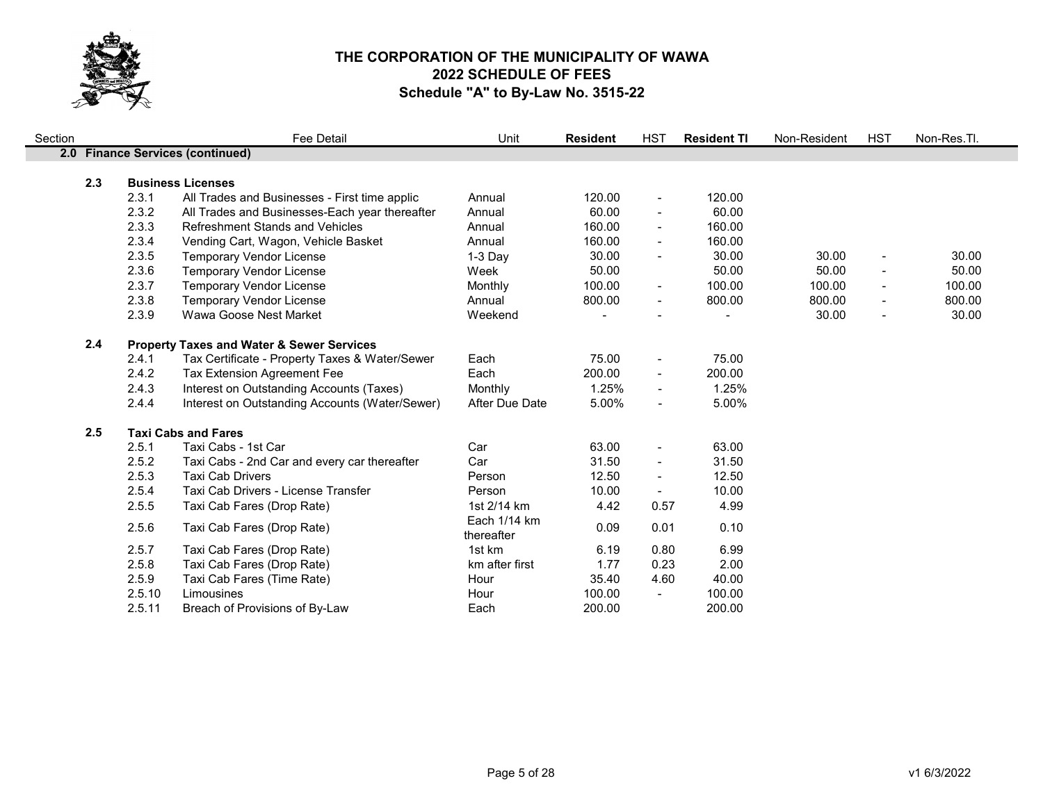

| Section |     |        | <b>Fee Detail</b>                                    | Unit           | <b>Resident</b> | <b>HST</b>               | <b>Resident TI</b> | Non-Resident | <b>HST</b>                   | Non-Res.Tl. |
|---------|-----|--------|------------------------------------------------------|----------------|-----------------|--------------------------|--------------------|--------------|------------------------------|-------------|
|         |     |        | 2.0 Finance Services (continued)                     |                |                 |                          |                    |              |                              |             |
|         |     |        |                                                      |                |                 |                          |                    |              |                              |             |
|         | 2.3 |        | <b>Business Licenses</b>                             |                |                 |                          |                    |              |                              |             |
|         |     | 2.3.1  | All Trades and Businesses - First time applic        | Annual         | 120.00          | $\overline{\phantom{a}}$ | 120.00             |              |                              |             |
|         |     | 2.3.2  | All Trades and Businesses-Each year thereafter       | Annual         | 60.00           | $\overline{\phantom{a}}$ | 60.00              |              |                              |             |
|         |     | 2.3.3  | <b>Refreshment Stands and Vehicles</b>               | Annual         | 160.00          | $\overline{\phantom{a}}$ | 160.00             |              |                              |             |
|         |     | 2.3.4  | Vending Cart, Wagon, Vehicle Basket                  | Annual         | 160.00          | $\overline{\phantom{a}}$ | 160.00             |              |                              |             |
|         |     | 2.3.5  | <b>Temporary Vendor License</b>                      | 1-3 Day        | 30.00           | $\overline{\phantom{a}}$ | 30.00              | 30.00        | $\qquad \qquad \blacksquare$ | 30.00       |
|         |     | 2.3.6  | <b>Temporary Vendor License</b>                      | Week           | 50.00           |                          | 50.00              | 50.00        |                              | 50.00       |
|         |     | 2.3.7  | <b>Temporary Vendor License</b>                      | Monthly        | 100.00          | $\overline{\phantom{a}}$ | 100.00             | 100.00       | $\blacksquare$               | 100.00      |
|         |     | 2.3.8  | <b>Temporary Vendor License</b>                      | Annual         | 800.00          | $\blacksquare$           | 800.00             | 800.00       | $\blacksquare$               | 800.00      |
|         |     | 2.3.9  | Wawa Goose Nest Market                               | Weekend        | $\blacksquare$  |                          |                    | 30.00        | $\blacksquare$               | 30.00       |
|         | 2.4 |        | <b>Property Taxes and Water &amp; Sewer Services</b> |                |                 |                          |                    |              |                              |             |
|         |     | 2.4.1  | Tax Certificate - Property Taxes & Water/Sewer       | Each           | 75.00           | $\overline{\phantom{a}}$ | 75.00              |              |                              |             |
|         |     | 2.4.2  | <b>Tax Extension Agreement Fee</b>                   | Each           | 200.00          | $\blacksquare$           | 200.00             |              |                              |             |
|         |     | 2.4.3  | Interest on Outstanding Accounts (Taxes)             | Monthly        | 1.25%           | $\overline{\phantom{a}}$ | 1.25%              |              |                              |             |
|         |     | 2.4.4  | Interest on Outstanding Accounts (Water/Sewer)       | After Due Date | 5.00%           | $\blacksquare$           | 5.00%              |              |                              |             |
|         | 2.5 |        | <b>Taxi Cabs and Fares</b>                           |                |                 |                          |                    |              |                              |             |
|         |     | 2.5.1  | Taxi Cabs - 1st Car                                  | Car            | 63.00           | $\overline{\phantom{a}}$ | 63.00              |              |                              |             |
|         |     | 2.5.2  | Taxi Cabs - 2nd Car and every car thereafter         | Car            | 31.50           | $\overline{\phantom{a}}$ | 31.50              |              |                              |             |
|         |     | 2.5.3  | <b>Taxi Cab Drivers</b>                              | Person         | 12.50           | $\overline{\phantom{a}}$ | 12.50              |              |                              |             |
|         |     | 2.5.4  | Taxi Cab Drivers - License Transfer                  | Person         | 10.00           | $\blacksquare$           | 10.00              |              |                              |             |
|         |     | 2.5.5  | Taxi Cab Fares (Drop Rate)                           | 1st 2/14 km    | 4.42            | 0.57                     | 4.99               |              |                              |             |
|         |     |        |                                                      | Each 1/14 km   |                 |                          |                    |              |                              |             |
|         |     | 2.5.6  | Taxi Cab Fares (Drop Rate)                           | thereafter     | 0.09            | 0.01                     | 0.10               |              |                              |             |
|         |     | 2.5.7  | Taxi Cab Fares (Drop Rate)                           | 1st km         | 6.19            | 0.80                     | 6.99               |              |                              |             |
|         |     | 2.5.8  | Taxi Cab Fares (Drop Rate)                           | km after first | 1.77            | 0.23                     | 2.00               |              |                              |             |
|         |     | 2.5.9  | Taxi Cab Fares (Time Rate)                           | Hour           | 35.40           | 4.60                     | 40.00              |              |                              |             |
|         |     | 2.5.10 | Limousines                                           | Hour           | 100.00          | $\blacksquare$           | 100.00             |              |                              |             |
|         |     | 2.5.11 | Breach of Provisions of By-Law                       | Each           | 200.00          |                          | 200.00             |              |                              |             |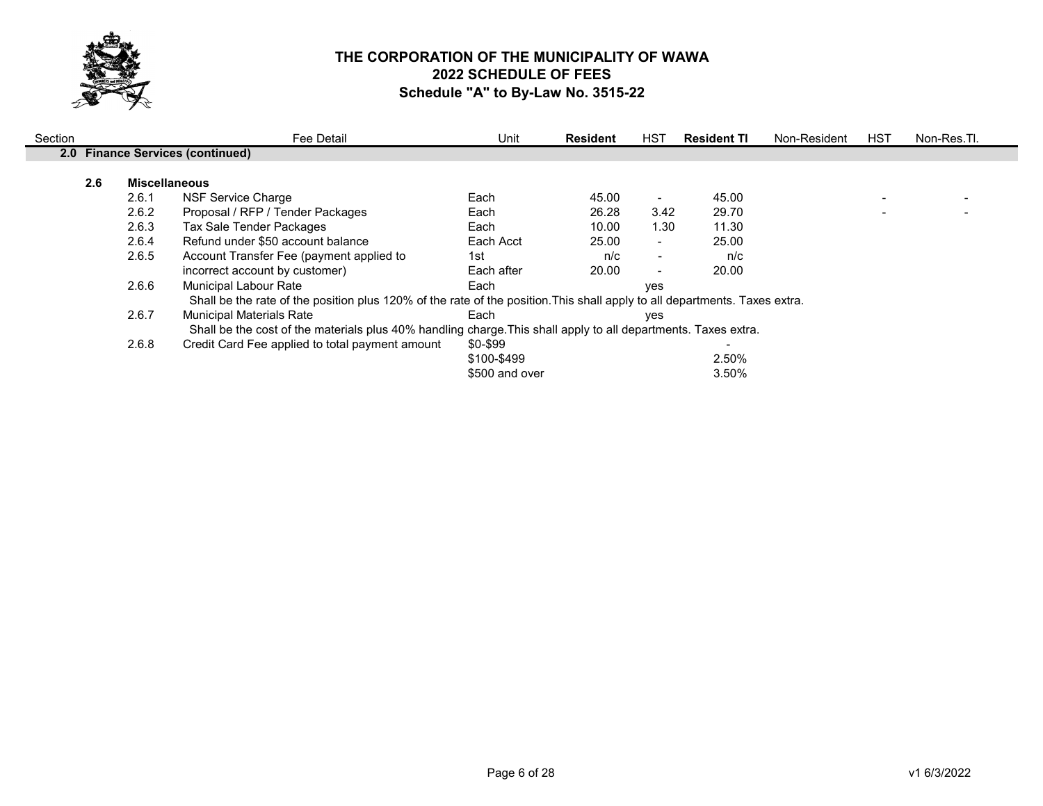

| Section |     |                      | Fee Detail                                                                                                                 | Unit           | <b>Resident</b> | HST                      | <b>Resident TI</b> | Non-Resident | <b>HST</b> | Non-Res.Tl. |
|---------|-----|----------------------|----------------------------------------------------------------------------------------------------------------------------|----------------|-----------------|--------------------------|--------------------|--------------|------------|-------------|
|         |     |                      | 2.0 Finance Services (continued)                                                                                           |                |                 |                          |                    |              |            |             |
|         | 2.6 | <b>Miscellaneous</b> |                                                                                                                            |                |                 |                          |                    |              |            |             |
|         |     | 2.6.1                | NSF Service Charge                                                                                                         | Each           | 45.00           |                          | 45.00              |              |            |             |
|         |     | 2.6.2                | Proposal / RFP / Tender Packages                                                                                           | Each           | 26.28           | 3.42                     | 29.70              |              |            |             |
|         |     | 2.6.3                | Tax Sale Tender Packages                                                                                                   | Each           | 10.00           | 1.30                     | 11.30              |              |            |             |
|         |     | 2.6.4                | Refund under \$50 account balance                                                                                          | Each Acct      | 25.00           | $\blacksquare$           | 25.00              |              |            |             |
|         |     | 2.6.5                | Account Transfer Fee (payment applied to                                                                                   | 1st            | n/c             | $\blacksquare$           | n/c                |              |            |             |
|         |     |                      | incorrect account by customer)                                                                                             | Each after     | 20.00           | $\overline{\phantom{a}}$ | 20.00              |              |            |             |
|         |     | 2.6.6                | Municipal Labour Rate                                                                                                      | Each           |                 | ves                      |                    |              |            |             |
|         |     |                      | Shall be the rate of the position plus 120% of the rate of the position. This shall apply to all departments. Taxes extra. |                |                 |                          |                    |              |            |             |
|         |     | 2.6.7                | <b>Municipal Materials Rate</b>                                                                                            | Each           |                 | yes                      |                    |              |            |             |
|         |     |                      | Shall be the cost of the materials plus 40% handling charge. This shall apply to all departments. Taxes extra.             |                |                 |                          |                    |              |            |             |
|         |     | 2.6.8                | Credit Card Fee applied to total payment amount                                                                            | \$0-\$99       |                 |                          |                    |              |            |             |
|         |     |                      |                                                                                                                            | \$100-\$499    |                 |                          | 2.50%              |              |            |             |
|         |     |                      |                                                                                                                            | \$500 and over |                 |                          | 3.50%              |              |            |             |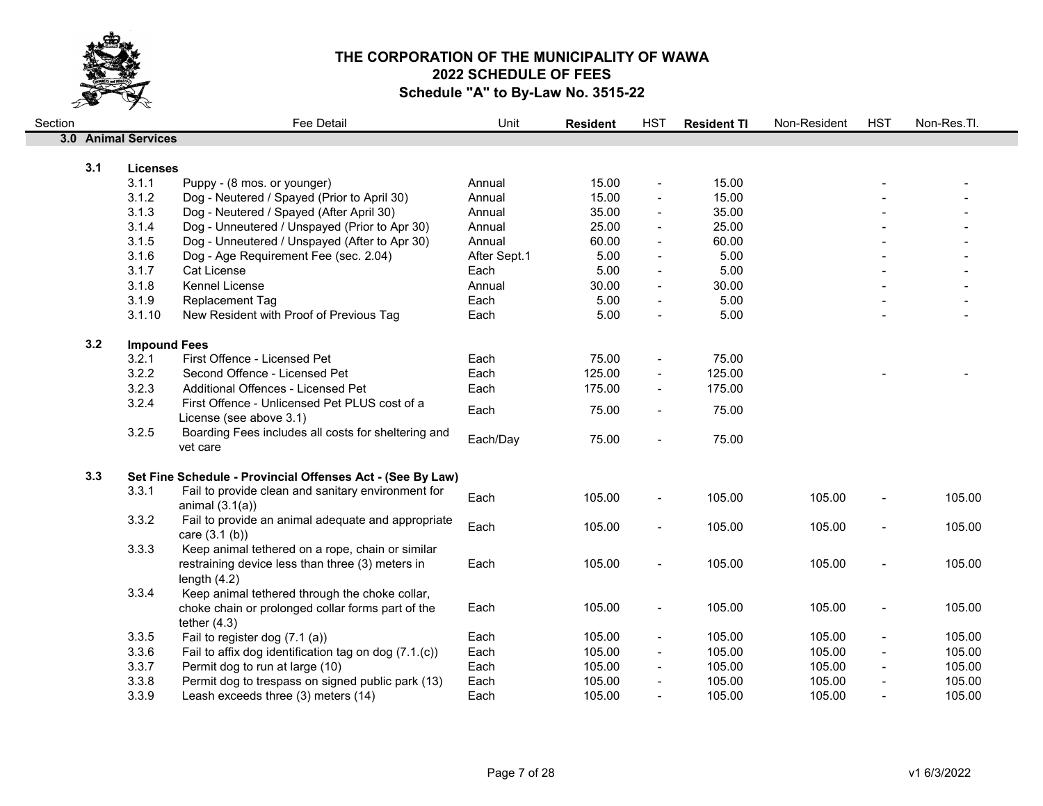

| Section |     |                     | Fee Detail                                                         | Unit         | <b>Resident</b> | <b>HST</b>     | <b>Resident TI</b> | Non-Resident | <b>HST</b>     | Non-Res.Tl. |
|---------|-----|---------------------|--------------------------------------------------------------------|--------------|-----------------|----------------|--------------------|--------------|----------------|-------------|
|         |     | 3.0 Animal Services |                                                                    |              |                 |                |                    |              |                |             |
|         |     |                     |                                                                    |              |                 |                |                    |              |                |             |
|         | 3.1 | <b>Licenses</b>     |                                                                    |              |                 |                |                    |              |                |             |
|         |     | 3.1.1               | Puppy - (8 mos. or younger)                                        | Annual       | 15.00           | $\blacksquare$ | 15.00              |              |                |             |
|         |     | 3.1.2               | Dog - Neutered / Spayed (Prior to April 30)                        | Annual       | 15.00           | $\overline{a}$ | 15.00              |              |                |             |
|         |     | 3.1.3               | Dog - Neutered / Spayed (After April 30)                           | Annual       | 35.00           | $\blacksquare$ | 35.00              |              |                |             |
|         |     | 3.1.4               | Dog - Unneutered / Unspayed (Prior to Apr 30)                      | Annual       | 25.00           | $\blacksquare$ | 25.00              |              |                |             |
|         |     | 3.1.5               | Dog - Unneutered / Unspayed (After to Apr 30)                      | Annual       | 60.00           | $\blacksquare$ | 60.00              |              |                |             |
|         |     | 3.1.6               | Dog - Age Requirement Fee (sec. 2.04)                              | After Sept.1 | 5.00            | $\blacksquare$ | 5.00               |              |                |             |
|         |     | 3.1.7               | <b>Cat License</b>                                                 | Each         | 5.00            |                | 5.00               |              |                |             |
|         |     | 3.1.8               | Kennel License                                                     | Annual       | 30.00           | $\blacksquare$ | 30.00              |              |                |             |
|         |     | 3.1.9               | Replacement Tag                                                    | Each         | 5.00            | $\blacksquare$ | 5.00               |              |                |             |
|         |     | 3.1.10              | New Resident with Proof of Previous Tag                            | Each         | 5.00            | $\blacksquare$ | 5.00               |              |                |             |
|         | 3.2 | <b>Impound Fees</b> |                                                                    |              |                 |                |                    |              |                |             |
|         |     | 3.2.1               | First Offence - Licensed Pet                                       | Each         | 75.00           | $\blacksquare$ | 75.00              |              |                |             |
|         |     | 3.2.2               | Second Offence - Licensed Pet                                      | Each         | 125.00          | $\blacksquare$ | 125.00             |              |                |             |
|         |     | 3.2.3               | Additional Offences - Licensed Pet                                 | Each         | 175.00          |                | 175.00             |              |                |             |
|         |     | 3.2.4               | First Offence - Unlicensed Pet PLUS cost of a                      |              |                 |                |                    |              |                |             |
|         |     |                     | License (see above 3.1)                                            | Each         | 75.00           | $\blacksquare$ | 75.00              |              |                |             |
|         |     | 3.2.5               | Boarding Fees includes all costs for sheltering and                | Each/Day     | 75.00           | $\blacksquare$ | 75.00              |              |                |             |
|         |     |                     | vet care                                                           |              |                 |                |                    |              |                |             |
|         | 3.3 |                     | Set Fine Schedule - Provincial Offenses Act - (See By Law)         |              |                 |                |                    |              |                |             |
|         |     | 3.3.1               | Fail to provide clean and sanitary environment for                 | Each         |                 |                |                    |              |                |             |
|         |     |                     | animal $(3.1(a))$                                                  |              | 105.00          |                | 105.00             | 105.00       |                | 105.00      |
|         |     | 3.3.2               | Fail to provide an animal adequate and appropriate                 | Each         | 105.00          | $\blacksquare$ | 105.00             | 105.00       |                | 105.00      |
|         |     |                     | care (3.1 (b))                                                     |              |                 |                |                    |              |                |             |
|         |     | 3.3.3               | Keep animal tethered on a rope, chain or similar                   |              |                 |                |                    |              |                |             |
|         |     |                     | restraining device less than three (3) meters in<br>length $(4.2)$ | Each         | 105.00          | $\blacksquare$ | 105.00             | 105.00       |                | 105.00      |
|         |     | 3.3.4               | Keep animal tethered through the choke collar,                     |              |                 |                |                    |              |                |             |
|         |     |                     | choke chain or prolonged collar forms part of the                  | Each         | 105.00          | $\blacksquare$ | 105.00             | 105.00       | $\blacksquare$ | 105.00      |
|         |     |                     | tether $(4.3)$                                                     |              |                 |                |                    |              |                |             |
|         |     | 3.3.5               | Fail to register dog (7.1 (a))                                     | Each         | 105.00          | $\blacksquare$ | 105.00             | 105.00       | $\blacksquare$ | 105.00      |
|         |     | 3.3.6               | Fail to affix dog identification tag on dog (7.1.(c))              | Each         | 105.00          | $\blacksquare$ | 105.00             | 105.00       | $\blacksquare$ | 105.00      |
|         |     | 3.3.7               | Permit dog to run at large (10)                                    | Each         | 105.00          | $\blacksquare$ | 105.00             | 105.00       | $\blacksquare$ | 105.00      |
|         |     | 3.3.8               | Permit dog to trespass on signed public park (13)                  | Each         | 105.00          |                | 105.00             | 105.00       |                | 105.00      |
|         |     | 3.3.9               | Leash exceeds three (3) meters (14)                                | Each         | 105.00          |                | 105.00             | 105.00       |                | 105.00      |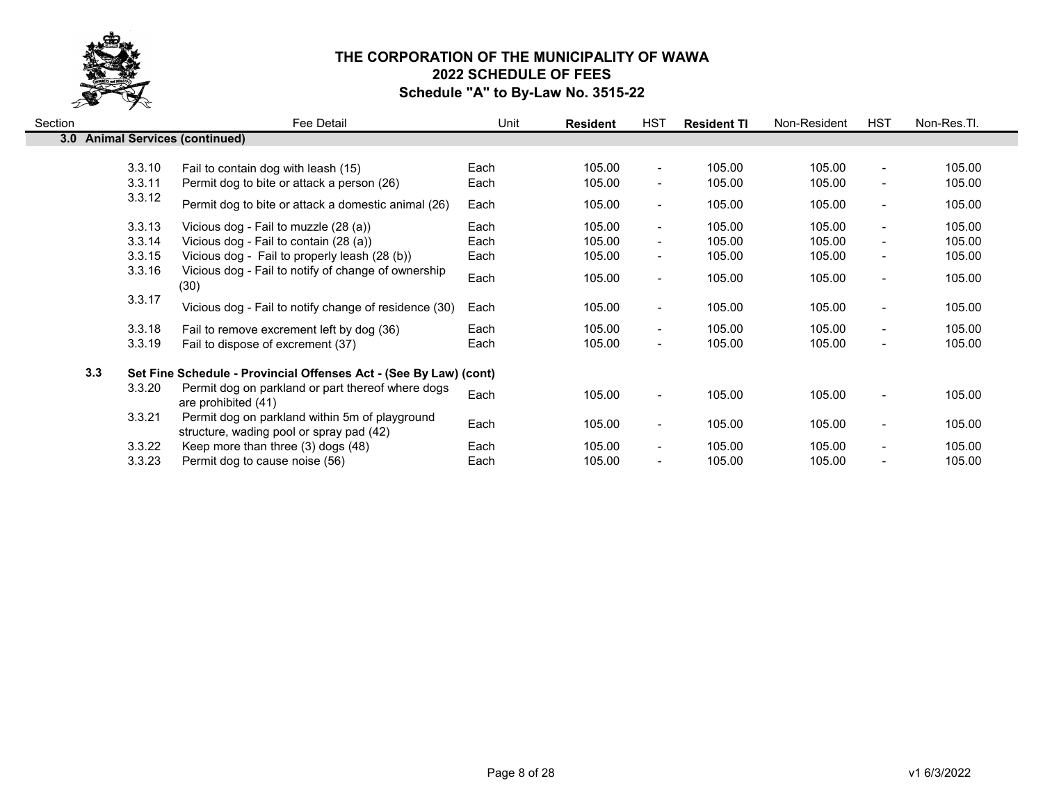

| Section |                                 | Fee Detail                                                                                 | Unit         | <b>Resident</b>  | HST                                        | <b>Resident TI</b> | Non-Resident     | <b>HST</b>                                     | Non-Res.Tl.      |
|---------|---------------------------------|--------------------------------------------------------------------------------------------|--------------|------------------|--------------------------------------------|--------------------|------------------|------------------------------------------------|------------------|
|         | 3.0 Animal Services (continued) |                                                                                            |              |                  |                                            |                    |                  |                                                |                  |
|         | 3.3.10<br>3.3.11                | Fail to contain dog with leash (15)<br>Permit dog to bite or attack a person (26)          | Each<br>Each | 105.00<br>105.00 | $\blacksquare$<br>$\blacksquare$           | 105.00<br>105.00   | 105.00<br>105.00 | $\blacksquare$<br>$\blacksquare$               | 105.00<br>105.00 |
|         | 3.3.12                          | Permit dog to bite or attack a domestic animal (26)                                        | Each         | 105.00           | $\blacksquare$                             | 105.00             | 105.00           | $\overline{\phantom{a}}$                       | 105.00           |
|         | 3.3.13<br>3.3.14                | Vicious dog - Fail to muzzle (28 (a))<br>Vicious dog - Fail to contain (28 (a))            | Each<br>Each | 105.00<br>105.00 | $\blacksquare$                             | 105.00<br>105.00   | 105.00<br>105.00 | $\blacksquare$                                 | 105.00<br>105.00 |
|         | 3.3.15                          | Vicious dog - Fail to properly leash (28 (b))                                              | Each         | 105.00           | $\blacksquare$<br>$\overline{\phantom{a}}$ | 105.00             | 105.00           | $\blacksquare$<br>$\blacksquare$               | 105.00           |
|         | 3.3.16                          | Vicious dog - Fail to notify of change of ownership<br>(30)                                | Each         | 105.00           | $\blacksquare$                             | 105.00             | 105.00           | $\blacksquare$                                 | 105.00           |
|         | 3.3.17                          | Vicious dog - Fail to notify change of residence (30)                                      | Each         | 105.00           | $\blacksquare$                             | 105.00             | 105.00           | $\blacksquare$                                 | 105.00           |
|         | 3.3.18<br>3.3.19                | Fail to remove excrement left by dog (36)<br>Fail to dispose of excrement (37)             | Each<br>Each | 105.00<br>105.00 | $\blacksquare$<br>$\overline{\phantom{a}}$ | 105.00<br>105.00   | 105.00<br>105.00 | $\blacksquare$<br>$\blacksquare$               | 105.00<br>105.00 |
|         | 3.3                             | Set Fine Schedule - Provincial Offenses Act - (See By Law) (cont)                          |              |                  |                                            |                    |                  |                                                |                  |
|         | 3.3.20                          | Permit dog on parkland or part thereof where dogs<br>are prohibited (41)                   | Each         | 105.00           | $\blacksquare$                             | 105.00             | 105.00           | $\blacksquare$                                 | 105.00           |
|         | 3.3.21                          | Permit dog on parkland within 5m of playground<br>structure, wading pool or spray pad (42) | Each         | 105.00           | $\blacksquare$                             | 105.00             | 105.00           | $\blacksquare$                                 | 105.00           |
|         | 3.3.22<br>3.3.23                | Keep more than three (3) dogs (48)<br>Permit dog to cause noise (56)                       | Each<br>Each | 105.00<br>105.00 | $\blacksquare$<br>$\overline{\phantom{0}}$ | 105.00<br>105.00   | 105.00<br>105.00 | $\blacksquare$<br>$\qquad \qquad \blacksquare$ | 105.00<br>105.00 |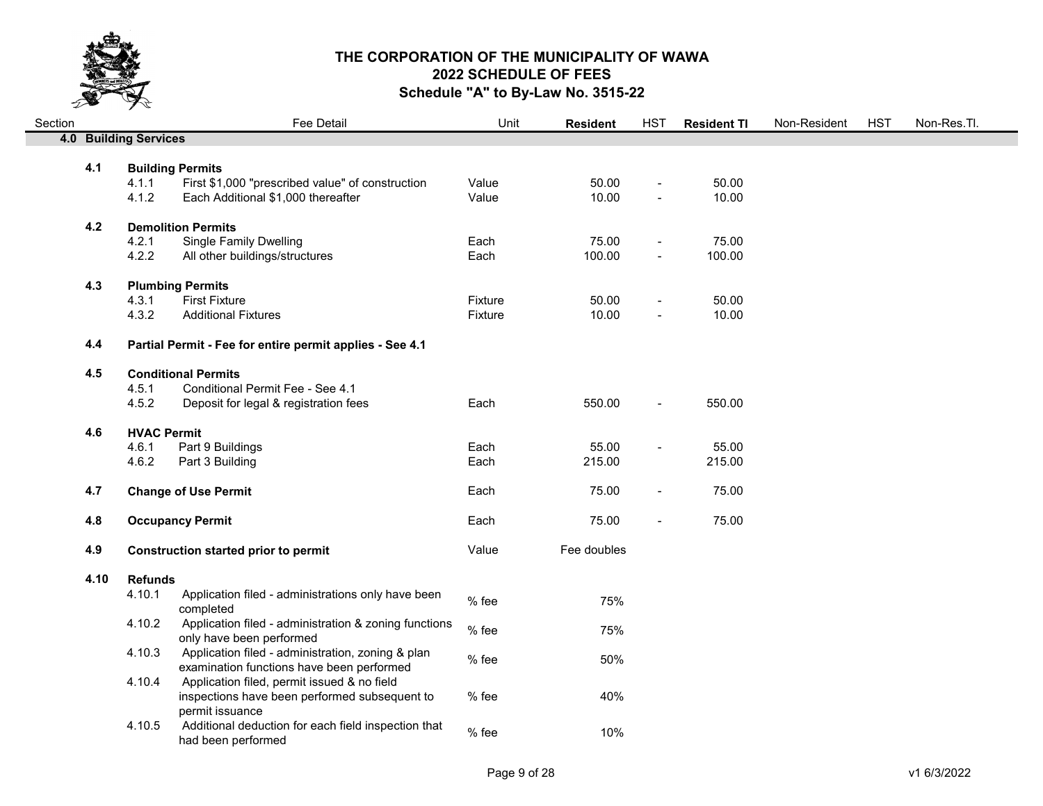

| Section |      |                              | Fee Detail                                                                  | Unit    | <b>Resident</b> | <b>HST</b>               | <b>Resident TI</b> | Non-Resident | <b>HST</b> | Non-Res.Tl. |
|---------|------|------------------------------|-----------------------------------------------------------------------------|---------|-----------------|--------------------------|--------------------|--------------|------------|-------------|
|         |      | <b>4.0 Building Services</b> |                                                                             |         |                 |                          |                    |              |            |             |
|         | 4.1  |                              |                                                                             |         |                 |                          |                    |              |            |             |
|         |      | 4.1.1                        | <b>Building Permits</b><br>First \$1,000 "prescribed value" of construction | Value   | 50.00           | $\overline{a}$           | 50.00              |              |            |             |
|         |      | 4.1.2                        | Each Additional \$1,000 thereafter                                          | Value   | 10.00           |                          | 10.00              |              |            |             |
|         |      |                              |                                                                             |         |                 |                          |                    |              |            |             |
|         | 4.2  |                              | <b>Demolition Permits</b>                                                   |         |                 |                          |                    |              |            |             |
|         |      | 4.2.1                        | <b>Single Family Dwelling</b>                                               | Each    | 75.00           | $\blacksquare$           | 75.00              |              |            |             |
|         |      | 4.2.2                        | All other buildings/structures                                              | Each    | 100.00          |                          | 100.00             |              |            |             |
|         | 4.3  |                              | <b>Plumbing Permits</b>                                                     |         |                 |                          |                    |              |            |             |
|         |      | 4.3.1                        | <b>First Fixture</b>                                                        | Fixture | 50.00           | $\overline{\phantom{0}}$ | 50.00              |              |            |             |
|         |      | 4.3.2                        | <b>Additional Fixtures</b>                                                  | Fixture | 10.00           | $\overline{a}$           | 10.00              |              |            |             |
|         |      |                              |                                                                             |         |                 |                          |                    |              |            |             |
|         | 4.4  |                              | Partial Permit - Fee for entire permit applies - See 4.1                    |         |                 |                          |                    |              |            |             |
|         | 4.5  |                              | <b>Conditional Permits</b>                                                  |         |                 |                          |                    |              |            |             |
|         |      | 4.5.1                        | Conditional Permit Fee - See 4.1                                            |         |                 |                          |                    |              |            |             |
|         |      | 4.5.2                        | Deposit for legal & registration fees                                       | Each    | 550.00          | $\blacksquare$           | 550.00             |              |            |             |
|         |      |                              |                                                                             |         |                 |                          |                    |              |            |             |
|         | 4.6  | <b>HVAC Permit</b>           |                                                                             |         |                 |                          |                    |              |            |             |
|         |      | 4.6.1                        | Part 9 Buildings                                                            | Each    | 55.00<br>215.00 | $\blacksquare$           | 55.00              |              |            |             |
|         |      | 4.6.2                        | Part 3 Building                                                             | Each    |                 |                          | 215.00             |              |            |             |
|         | 4.7  |                              | <b>Change of Use Permit</b>                                                 | Each    | 75.00           | $\blacksquare$           | 75.00              |              |            |             |
|         |      |                              |                                                                             |         |                 |                          |                    |              |            |             |
|         | 4.8  |                              | <b>Occupancy Permit</b>                                                     | Each    | 75.00           | $\blacksquare$           | 75.00              |              |            |             |
|         | 4.9  |                              | <b>Construction started prior to permit</b>                                 | Value   | Fee doubles     |                          |                    |              |            |             |
|         |      |                              |                                                                             |         |                 |                          |                    |              |            |             |
|         | 4.10 | <b>Refunds</b>               |                                                                             |         |                 |                          |                    |              |            |             |
|         |      | 4.10.1                       | Application filed - administrations only have been                          | % fee   | 75%             |                          |                    |              |            |             |
|         |      | 4.10.2                       | completed<br>Application filed - administration & zoning functions          |         |                 |                          |                    |              |            |             |
|         |      |                              | only have been performed                                                    | % fee   | 75%             |                          |                    |              |            |             |
|         |      | 4.10.3                       | Application filed - administration, zoning & plan                           |         |                 |                          |                    |              |            |             |
|         |      |                              | examination functions have been performed                                   | % fee   | 50%             |                          |                    |              |            |             |
|         |      | 4.10.4                       | Application filed, permit issued & no field                                 |         |                 |                          |                    |              |            |             |
|         |      |                              | inspections have been performed subsequent to                               | % fee   | 40%             |                          |                    |              |            |             |
|         |      | 4.10.5                       | permit issuance<br>Additional deduction for each field inspection that      |         |                 |                          |                    |              |            |             |
|         |      |                              |                                                                             |         |                 |                          |                    |              |            |             |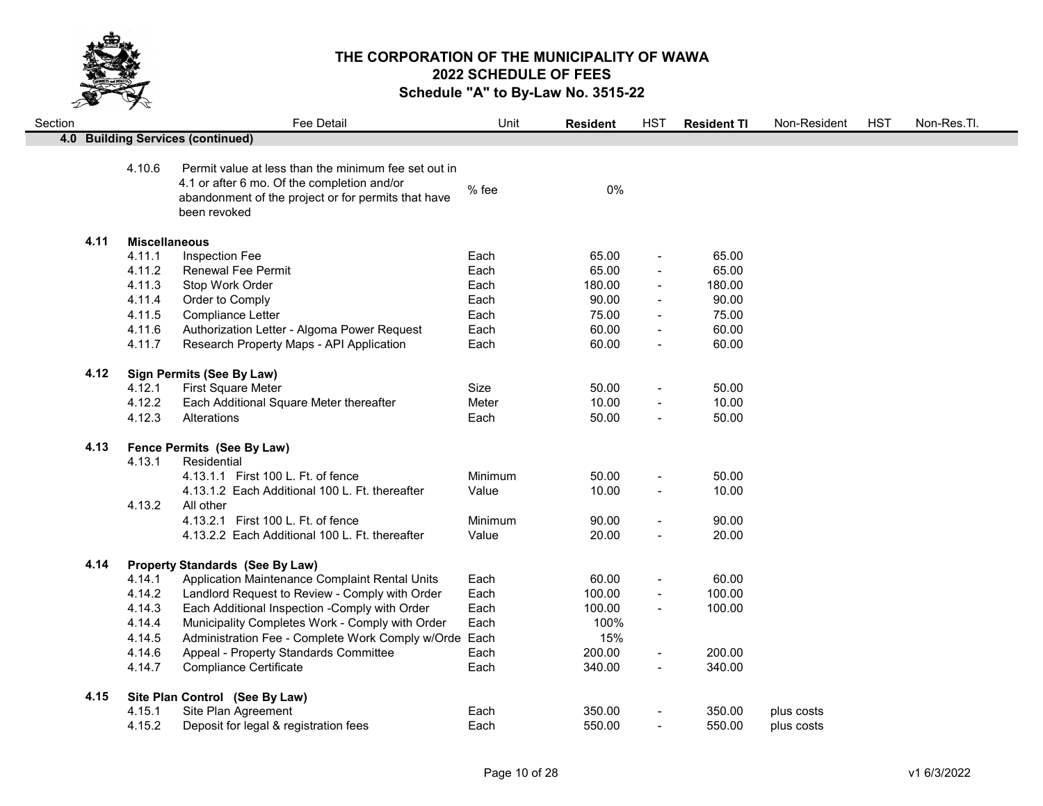

| Section |      |                      | <b>Fee Detail</b>                                                                                                                                                          | Unit    | <b>Resident</b> | <b>HST</b>               | <b>Resident TI</b> | Non-Resident | <b>HST</b> | Non-Res.Tl. |
|---------|------|----------------------|----------------------------------------------------------------------------------------------------------------------------------------------------------------------------|---------|-----------------|--------------------------|--------------------|--------------|------------|-------------|
|         |      |                      | 4.0 Building Services (continued)                                                                                                                                          |         |                 |                          |                    |              |            |             |
|         |      | 4.10.6               | Permit value at less than the minimum fee set out in<br>4.1 or after 6 mo. Of the completion and/or<br>abandonment of the project or for permits that have<br>been revoked | % fee   | 0%              |                          |                    |              |            |             |
|         | 4.11 | <b>Miscellaneous</b> |                                                                                                                                                                            |         |                 |                          |                    |              |            |             |
|         |      | 4.11.1               | Inspection Fee                                                                                                                                                             | Each    | 65.00           | $\overline{\phantom{a}}$ | 65.00              |              |            |             |
|         |      | 4.11.2               | Renewal Fee Permit                                                                                                                                                         | Each    | 65.00           | $\sim$                   | 65.00              |              |            |             |
|         |      | 4.11.3               | Stop Work Order                                                                                                                                                            | Each    | 180.00          | $\blacksquare$           | 180.00             |              |            |             |
|         |      | 4.11.4               | Order to Comply                                                                                                                                                            | Each    | 90.00           | $\blacksquare$           | 90.00              |              |            |             |
|         |      | 4.11.5               | Compliance Letter                                                                                                                                                          | Each    | 75.00           |                          | 75.00              |              |            |             |
|         |      | 4.11.6               | Authorization Letter - Algoma Power Request                                                                                                                                | Each    | 60.00           | $\blacksquare$           | 60.00              |              |            |             |
|         |      | 4.11.7               | Research Property Maps - API Application                                                                                                                                   | Each    | 60.00           | $\overline{\phantom{a}}$ | 60.00              |              |            |             |
|         | 4.12 |                      | <b>Sign Permits (See By Law)</b>                                                                                                                                           |         |                 |                          |                    |              |            |             |
|         |      | 4.12.1               | First Square Meter                                                                                                                                                         | Size    | 50.00           | $\blacksquare$           | 50.00              |              |            |             |
|         |      | 4.12.2               | Each Additional Square Meter thereafter                                                                                                                                    | Meter   | 10.00           | $\blacksquare$           | 10.00              |              |            |             |
|         |      | 4.12.3               | Alterations                                                                                                                                                                | Each    | 50.00           | $\blacksquare$           | 50.00              |              |            |             |
|         | 4.13 |                      | Fence Permits (See By Law)                                                                                                                                                 |         |                 |                          |                    |              |            |             |
|         |      | 4.13.1               | Residential                                                                                                                                                                |         |                 |                          |                    |              |            |             |
|         |      |                      | 4.13.1.1 First 100 L. Ft. of fence                                                                                                                                         | Minimum | 50.00           | $\overline{\phantom{a}}$ | 50.00              |              |            |             |
|         |      | 4.13.2               | 4.13.1.2 Each Additional 100 L. Ft. thereafter<br>All other                                                                                                                | Value   | 10.00           | $\blacksquare$           | 10.00              |              |            |             |
|         |      |                      | 4.13.2.1 First 100 L. Ft. of fence                                                                                                                                         | Minimum | 90.00           | $\blacksquare$           | 90.00              |              |            |             |
|         |      |                      | 4.13.2.2 Each Additional 100 L. Ft. thereafter                                                                                                                             | Value   | 20.00           | $\blacksquare$           | 20.00              |              |            |             |
|         | 4.14 |                      | <b>Property Standards (See By Law)</b>                                                                                                                                     |         |                 |                          |                    |              |            |             |
|         |      | 4.14.1               | Application Maintenance Complaint Rental Units                                                                                                                             | Each    | 60.00           | $\overline{\phantom{a}}$ | 60.00              |              |            |             |
|         |      | 4.14.2               | Landlord Request to Review - Comply with Order                                                                                                                             | Each    | 100.00          | $\blacksquare$           | 100.00             |              |            |             |
|         |      | 4.14.3               | Each Additional Inspection -Comply with Order                                                                                                                              | Each    | 100.00          | $\blacksquare$           | 100.00             |              |            |             |
|         |      | 4.14.4               | Municipality Completes Work - Comply with Order                                                                                                                            | Each    | 100%            |                          |                    |              |            |             |
|         |      | 4.14.5               | Administration Fee - Complete Work Comply w/Orde Each                                                                                                                      |         | 15%             |                          |                    |              |            |             |
|         |      | 4.14.6               | Appeal - Property Standards Committee                                                                                                                                      | Each    | 200.00          | $\blacksquare$           | 200.00             |              |            |             |
|         |      | 4.14.7               | <b>Compliance Certificate</b>                                                                                                                                              | Each    | 340.00          | $\blacksquare$           | 340.00             |              |            |             |
|         | 4.15 |                      | Site Plan Control (See By Law)                                                                                                                                             |         |                 |                          |                    |              |            |             |
|         |      | 4.15.1               | Site Plan Agreement                                                                                                                                                        | Each    | 350.00          |                          | 350.00             | plus costs   |            |             |
|         |      | 4.15.2               | Deposit for legal & registration fees                                                                                                                                      | Each    | 550.00          | $\blacksquare$           | 550.00             | plus costs   |            |             |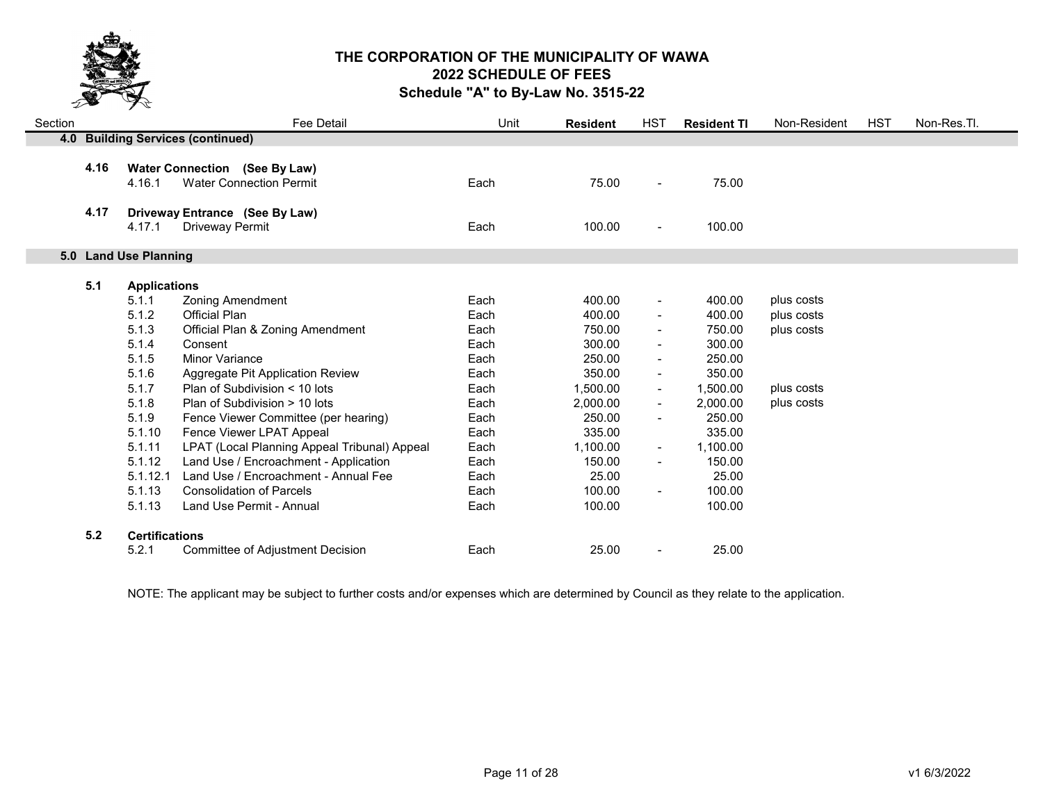

| Section |      |                       | Fee Detail                                   | Unit | <b>Resident</b> | HST                      | <b>Resident TI</b> | Non-Resident | <b>HST</b> | Non-Res.Tl. |
|---------|------|-----------------------|----------------------------------------------|------|-----------------|--------------------------|--------------------|--------------|------------|-------------|
|         |      |                       | 4.0 Building Services (continued)            |      |                 |                          |                    |              |            |             |
|         |      |                       |                                              |      |                 |                          |                    |              |            |             |
|         | 4.16 |                       | <b>Water Connection (See By Law)</b>         |      |                 |                          |                    |              |            |             |
|         |      | 4.16.1                | <b>Water Connection Permit</b>               | Each | 75.00           | $\overline{\phantom{a}}$ | 75.00              |              |            |             |
|         | 4.17 |                       | Driveway Entrance (See By Law)               |      |                 |                          |                    |              |            |             |
|         |      | 4.17.1                | <b>Driveway Permit</b>                       | Each | 100.00          | $\overline{\phantom{a}}$ | 100.00             |              |            |             |
|         |      |                       |                                              |      |                 |                          |                    |              |            |             |
|         |      | 5.0 Land Use Planning |                                              |      |                 |                          |                    |              |            |             |
|         |      |                       |                                              |      |                 |                          |                    |              |            |             |
|         | 5.1  | <b>Applications</b>   |                                              |      |                 |                          |                    |              |            |             |
|         |      | 5.1.1                 | <b>Zoning Amendment</b>                      | Each | 400.00          | $\blacksquare$           | 400.00             | plus costs   |            |             |
|         |      | 5.1.2                 | Official Plan                                | Each | 400.00          | $\blacksquare$           | 400.00             | plus costs   |            |             |
|         |      | 5.1.3                 | Official Plan & Zoning Amendment             | Each | 750.00          | $\sim$                   | 750.00             | plus costs   |            |             |
|         |      | 5.1.4                 | Consent                                      | Each | 300.00          | $\blacksquare$           | 300.00             |              |            |             |
|         |      | 5.1.5                 | Minor Variance                               | Each | 250.00          | $\blacksquare$           | 250.00             |              |            |             |
|         |      | 5.1.6                 | Aggregate Pit Application Review             | Each | 350.00          | $\blacksquare$           | 350.00             |              |            |             |
|         |      | 5.1.7                 | Plan of Subdivision < 10 lots                | Each | 1,500.00        | $\blacksquare$           | 1,500.00           | plus costs   |            |             |
|         |      | 5.1.8                 | Plan of Subdivision > 10 lots                | Each | 2,000.00        | $\blacksquare$           | 2.000.00           | plus costs   |            |             |
|         |      | 5.1.9                 | Fence Viewer Committee (per hearing)         | Each | 250.00          | $\blacksquare$           | 250.00             |              |            |             |
|         |      | 5.1.10                | Fence Viewer LPAT Appeal                     | Each | 335.00          |                          | 335.00             |              |            |             |
|         |      | 5.1.11                | LPAT (Local Planning Appeal Tribunal) Appeal | Each | 1,100.00        | $\blacksquare$           | 1,100.00           |              |            |             |
|         |      | 5.1.12                | Land Use / Encroachment - Application        | Each | 150.00          | $\blacksquare$           | 150.00             |              |            |             |
|         |      | 5.1.12.1              | Land Use / Encroachment - Annual Fee         | Each | 25.00           |                          | 25.00              |              |            |             |
|         |      | 5.1.13                | <b>Consolidation of Parcels</b>              | Each | 100.00          | $\blacksquare$           | 100.00             |              |            |             |
|         |      | 5.1.13                | Land Use Permit - Annual                     | Each | 100.00          |                          | 100.00             |              |            |             |
|         |      |                       |                                              |      |                 |                          |                    |              |            |             |
|         | 5.2  | <b>Certifications</b> |                                              |      |                 |                          |                    |              |            |             |
|         |      | 5.2.1                 | Committee of Adjustment Decision             | Each | 25.00           |                          | 25.00              |              |            |             |

NOTE: The applicant may be subject to further costs and/or expenses which are determined by Council as they relate to the application.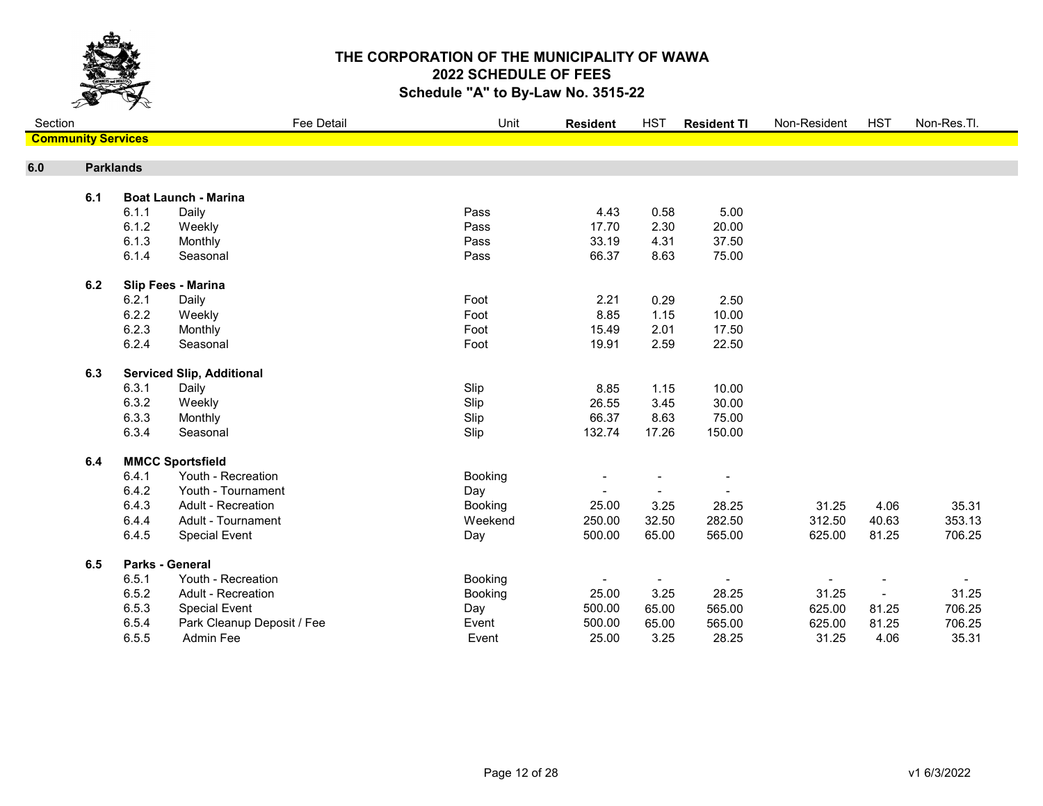

| Section                   |                  |       | Fee Detail                       | Unit           | <b>Resident</b> | <b>HST</b>               | <b>Resident TI</b>       | Non-Resident | <b>HST</b>               | Non-Res.Tl. |
|---------------------------|------------------|-------|----------------------------------|----------------|-----------------|--------------------------|--------------------------|--------------|--------------------------|-------------|
| <b>Community Services</b> |                  |       |                                  |                |                 |                          |                          |              |                          |             |
| 6.0                       | <b>Parklands</b> |       |                                  |                |                 |                          |                          |              |                          |             |
|                           | 6.1              |       | <b>Boat Launch - Marina</b>      |                |                 |                          |                          |              |                          |             |
|                           |                  | 6.1.1 | Daily                            | Pass           | 4.43            | 0.58                     | 5.00                     |              |                          |             |
|                           |                  | 6.1.2 | Weekly                           | Pass           | 17.70           | 2.30                     | 20.00                    |              |                          |             |
|                           |                  | 6.1.3 | Monthly                          | Pass           | 33.19           | 4.31                     | 37.50                    |              |                          |             |
|                           |                  | 6.1.4 | Seasonal                         | Pass           | 66.37           | 8.63                     | 75.00                    |              |                          |             |
|                           |                  |       |                                  |                |                 |                          |                          |              |                          |             |
|                           | 6.2              |       | Slip Fees - Marina               |                |                 |                          |                          |              |                          |             |
|                           |                  | 6.2.1 | Daily                            | Foot           | 2.21            | 0.29                     | 2.50                     |              |                          |             |
|                           |                  | 6.2.2 | Weekly                           | Foot           | 8.85            | 1.15                     | 10.00                    |              |                          |             |
|                           |                  | 6.2.3 | Monthly                          | Foot           | 15.49           | 2.01                     | 17.50                    |              |                          |             |
|                           |                  | 6.2.4 | Seasonal                         | Foot           | 19.91           | 2.59                     | 22.50                    |              |                          |             |
|                           | 6.3              |       | <b>Serviced Slip, Additional</b> |                |                 |                          |                          |              |                          |             |
|                           |                  | 6.3.1 | Daily                            | Slip           | 8.85            | 1.15                     | 10.00                    |              |                          |             |
|                           |                  | 6.3.2 | Weekly                           | Slip           | 26.55           | 3.45                     | 30.00                    |              |                          |             |
|                           |                  | 6.3.3 | Monthly                          | Slip           | 66.37           | 8.63                     | 75.00                    |              |                          |             |
|                           |                  | 6.3.4 | Seasonal                         | Slip           | 132.74          | 17.26                    | 150.00                   |              |                          |             |
|                           |                  |       |                                  |                |                 |                          |                          |              |                          |             |
|                           | 6.4              |       | <b>MMCC Sportsfield</b>          |                |                 |                          |                          |              |                          |             |
|                           |                  | 6.4.1 | Youth - Recreation               | Booking        |                 |                          | $\overline{\phantom{a}}$ |              |                          |             |
|                           |                  | 6.4.2 | Youth - Tournament               | Day            |                 |                          |                          |              |                          |             |
|                           |                  | 6.4.3 | <b>Adult - Recreation</b>        | Booking        | 25.00           | 3.25                     | 28.25                    | 31.25        | 4.06                     | 35.31       |
|                           |                  | 6.4.4 | Adult - Tournament               | Weekend        | 250.00          | 32.50                    | 282.50                   | 312.50       | 40.63                    | 353.13      |
|                           |                  | 6.4.5 | <b>Special Event</b>             | Day            | 500.00          | 65.00                    | 565.00                   | 625.00       | 81.25                    | 706.25      |
|                           | 6.5              |       | <b>Parks - General</b>           |                |                 |                          |                          |              |                          |             |
|                           |                  | 6.5.1 | Youth - Recreation               | <b>Booking</b> |                 | $\overline{\phantom{a}}$ | $\blacksquare$           |              |                          | $\sim$      |
|                           |                  | 6.5.2 | Adult - Recreation               | Booking        | 25.00           | 3.25                     | 28.25                    | 31.25        | $\overline{\phantom{a}}$ | 31.25       |
|                           |                  | 6.5.3 | <b>Special Event</b>             | Day            | 500.00          | 65.00                    | 565.00                   | 625.00       | 81.25                    | 706.25      |
|                           |                  | 6.5.4 | Park Cleanup Deposit / Fee       | Event          | 500.00          | 65.00                    | 565.00                   | 625.00       | 81.25                    | 706.25      |
|                           |                  | 6.5.5 | Admin Fee                        | Event          | 25.00           | 3.25                     | 28.25                    | 31.25        | 4.06                     | 35.31       |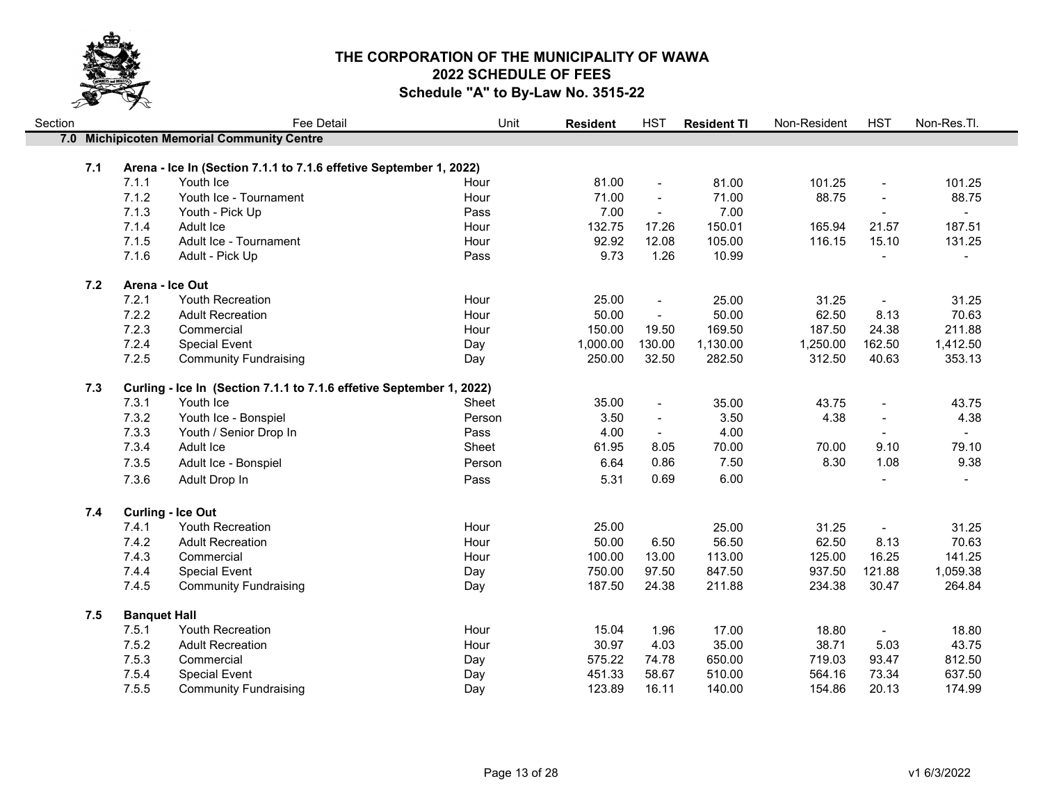

| Section |     |                     | Fee Detail                                                           | Unit   | <b>Resident</b> | <b>HST</b>               | <b>Resident TI</b> | Non-Resident | <b>HST</b>               | Non-Res.Tl.    |
|---------|-----|---------------------|----------------------------------------------------------------------|--------|-----------------|--------------------------|--------------------|--------------|--------------------------|----------------|
|         |     |                     | 7.0 Michipicoten Memorial Community Centre                           |        |                 |                          |                    |              |                          |                |
|         |     |                     |                                                                      |        |                 |                          |                    |              |                          |                |
|         | 7.1 |                     | Arena - Ice In (Section 7.1.1 to 7.1.6 effetive September 1, 2022)   |        |                 |                          |                    |              |                          |                |
|         |     | 7.1.1               | Youth Ice                                                            | Hour   | 81.00           | $\overline{\phantom{a}}$ | 81.00              | 101.25       | $\blacksquare$           | 101.25         |
|         |     | 7.1.2               | Youth Ice - Tournament                                               | Hour   | 71.00           | $\blacksquare$           | 71.00              | 88.75        | $\blacksquare$           | 88.75          |
|         |     | 7.1.3               | Youth - Pick Up                                                      | Pass   | 7.00            | $\blacksquare$           | 7.00               |              |                          | $\sim$         |
|         |     | 7.1.4               | Adult Ice                                                            | Hour   | 132.75          | 17.26                    | 150.01             | 165.94       | 21.57                    | 187.51         |
|         |     | 7.1.5               | Adult Ice - Tournament                                               | Hour   | 92.92           | 12.08                    | 105.00             | 116.15       | 15.10                    | 131.25         |
|         |     | 7.1.6               | Adult - Pick Up                                                      | Pass   | 9.73            | 1.26                     | 10.99              |              |                          | $\blacksquare$ |
|         | 7.2 |                     | Arena - Ice Out                                                      |        |                 |                          |                    |              |                          |                |
|         |     | 7.2.1               | Youth Recreation                                                     | Hour   | 25.00           | $\blacksquare$           | 25.00              | 31.25        | $\overline{\phantom{a}}$ | 31.25          |
|         |     | 7.2.2               | <b>Adult Recreation</b>                                              | Hour   | 50.00           | $\blacksquare$           | 50.00              | 62.50        | 8.13                     | 70.63          |
|         |     | 7.2.3               | Commercial                                                           | Hour   | 150.00          | 19.50                    | 169.50             | 187.50       | 24.38                    | 211.88         |
|         |     | 7.2.4               | <b>Special Event</b>                                                 | Day    | 1,000.00        | 130.00                   | 1,130.00           | 1,250.00     | 162.50                   | 1,412.50       |
|         |     | 7.2.5               | <b>Community Fundraising</b>                                         | Day    | 250.00          | 32.50                    | 282.50             | 312.50       | 40.63                    | 353.13         |
|         | 7.3 |                     | Curling - Ice In (Section 7.1.1 to 7.1.6 effetive September 1, 2022) |        |                 |                          |                    |              |                          |                |
|         |     | 7.3.1               | Youth Ice                                                            | Sheet  | 35.00           | $\blacksquare$           | 35.00              | 43.75        | $\blacksquare$           | 43.75          |
|         |     | 7.3.2               | Youth Ice - Bonspiel                                                 | Person | 3.50            | $\overline{a}$           | 3.50               | 4.38         | $\frac{1}{2}$            | 4.38           |
|         |     | 7.3.3               | Youth / Senior Drop In                                               | Pass   | 4.00            |                          | 4.00               |              |                          |                |
|         |     | 7.3.4               | Adult Ice                                                            | Sheet  | 61.95           | 8.05                     | 70.00              | 70.00        | 9.10                     | 79.10          |
|         |     | 7.3.5               | Adult Ice - Bonspiel                                                 | Person | 6.64            | 0.86                     | 7.50               | 8.30         | 1.08                     | 9.38           |
|         |     | 7.3.6               | Adult Drop In                                                        | Pass   | 5.31            | 0.69                     | 6.00               |              |                          |                |
|         |     |                     |                                                                      |        |                 |                          |                    |              |                          |                |
|         | 7.4 |                     | <b>Curling - Ice Out</b>                                             |        |                 |                          |                    |              |                          |                |
|         |     | 7.4.1               | <b>Youth Recreation</b>                                              | Hour   | 25.00           |                          | 25.00              | 31.25        | $\blacksquare$           | 31.25          |
|         |     | 7.4.2               | <b>Adult Recreation</b>                                              | Hour   | 50.00           | 6.50                     | 56.50              | 62.50        | 8.13                     | 70.63          |
|         |     | 7.4.3               | Commercial                                                           | Hour   | 100.00          | 13.00                    | 113.00             | 125.00       | 16.25                    | 141.25         |
|         |     | 7.4.4               | <b>Special Event</b>                                                 | Day    | 750.00          | 97.50                    | 847.50             | 937.50       | 121.88                   | 1,059.38       |
|         |     | 7.4.5               | <b>Community Fundraising</b>                                         | Day    | 187.50          | 24.38                    | 211.88             | 234.38       | 30.47                    | 264.84         |
|         | 7.5 | <b>Banquet Hall</b> |                                                                      |        |                 |                          |                    |              |                          |                |
|         |     | 7.5.1               | Youth Recreation                                                     | Hour   | 15.04           | 1.96                     | 17.00              | 18.80        | $\blacksquare$           | 18.80          |
|         |     | 7.5.2               | <b>Adult Recreation</b>                                              | Hour   | 30.97           | 4.03                     | 35.00              | 38.71        | 5.03                     | 43.75          |
|         |     | 7.5.3               | Commercial                                                           | Day    | 575.22          | 74.78                    | 650.00             | 719.03       | 93.47                    | 812.50         |
|         |     | 7.5.4               | <b>Special Event</b>                                                 | Day    | 451.33          | 58.67                    | 510.00             | 564.16       | 73.34                    | 637.50         |
|         |     | 7.5.5               | <b>Community Fundraising</b>                                         | Day    | 123.89          | 16.11                    | 140.00             | 154.86       | 20.13                    | 174.99         |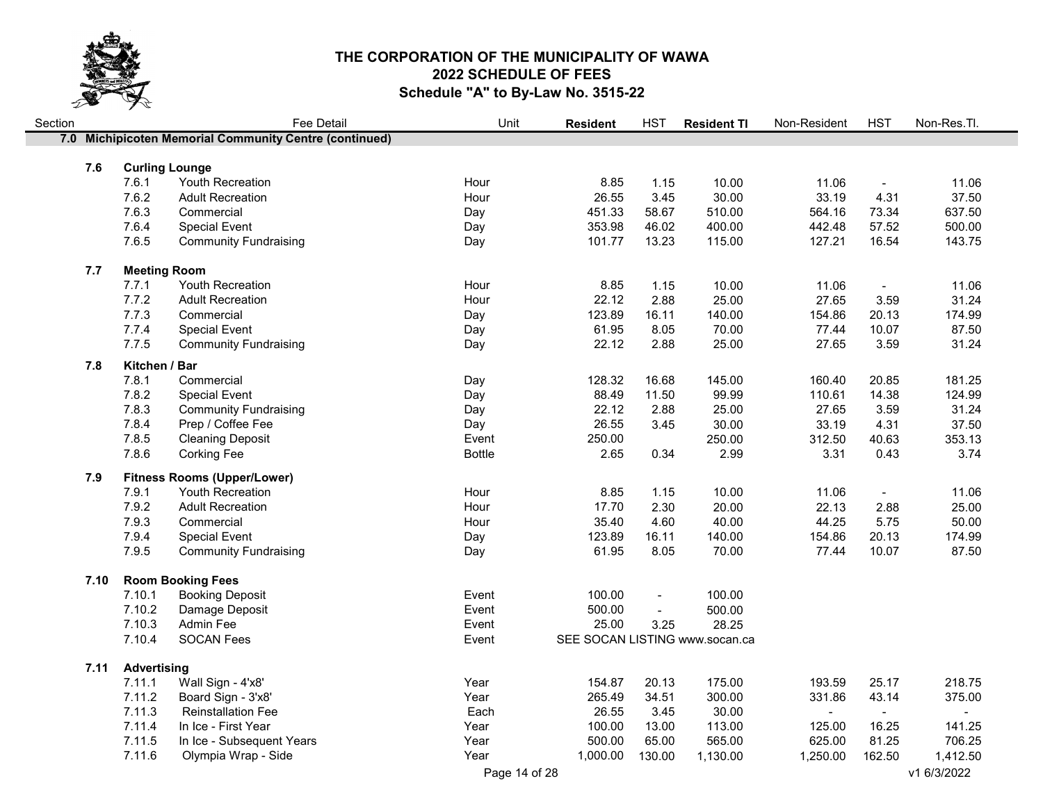

| Section |      |                       | Fee Detail                                             | Unit          | <b>Resident</b>                | <b>HST</b>     | <b>Resident TI</b> | Non-Resident   | <b>HST</b>     | Non-Res.Tl. |
|---------|------|-----------------------|--------------------------------------------------------|---------------|--------------------------------|----------------|--------------------|----------------|----------------|-------------|
|         |      |                       | 7.0 Michipicoten Memorial Community Centre (continued) |               |                                |                |                    |                |                |             |
|         |      |                       |                                                        |               |                                |                |                    |                |                |             |
|         | 7.6  | <b>Curling Lounge</b> |                                                        |               |                                |                |                    |                |                |             |
|         |      | 7.6.1                 | Youth Recreation                                       | Hour          | 8.85                           | 1.15           | 10.00              | 11.06          | $\blacksquare$ | 11.06       |
|         |      | 7.6.2                 | <b>Adult Recreation</b>                                | Hour          | 26.55                          | 3.45           | 30.00              | 33.19          | 4.31           | 37.50       |
|         |      | 7.6.3                 | Commercial                                             | Day           | 451.33                         | 58.67          | 510.00             | 564.16         | 73.34          | 637.50      |
|         |      | 7.6.4                 | <b>Special Event</b>                                   | Day           | 353.98                         | 46.02          | 400.00             | 442.48         | 57.52          | 500.00      |
|         |      | 7.6.5                 | <b>Community Fundraising</b>                           | Day           | 101.77                         | 13.23          | 115.00             | 127.21         | 16.54          | 143.75      |
|         | 7.7  | <b>Meeting Room</b>   |                                                        |               |                                |                |                    |                |                |             |
|         |      | 7.7.1                 | Youth Recreation                                       | Hour          | 8.85                           | 1.15           | 10.00              | 11.06          | $\blacksquare$ | 11.06       |
|         |      | 7.7.2                 | <b>Adult Recreation</b>                                | Hour          | 22.12                          | 2.88           | 25.00              | 27.65          | 3.59           | 31.24       |
|         |      | 7.7.3                 | Commercial                                             | Day           | 123.89                         | 16.11          | 140.00             | 154.86         | 20.13          | 174.99      |
|         |      | 7.7.4                 | <b>Special Event</b>                                   | Day           | 61.95                          | 8.05           | 70.00              | 77.44          | 10.07          | 87.50       |
|         |      | 7.7.5                 | <b>Community Fundraising</b>                           | Day           | 22.12                          | 2.88           | 25.00              | 27.65          | 3.59           | 31.24       |
|         | 7.8  | Kitchen / Bar         |                                                        |               |                                |                |                    |                |                |             |
|         |      | 7.8.1                 | Commercial                                             | Day           | 128.32                         | 16.68          | 145.00             | 160.40         | 20.85          | 181.25      |
|         |      | 7.8.2                 | <b>Special Event</b>                                   | Day           | 88.49                          | 11.50          | 99.99              | 110.61         | 14.38          | 124.99      |
|         |      | 7.8.3                 | <b>Community Fundraising</b>                           | Day           | 22.12                          | 2.88           | 25.00              | 27.65          | 3.59           | 31.24       |
|         |      | 7.8.4                 | Prep / Coffee Fee                                      | Day           | 26.55                          | 3.45           | 30.00              | 33.19          | 4.31           | 37.50       |
|         |      | 7.8.5                 | <b>Cleaning Deposit</b>                                | Event         | 250.00                         |                | 250.00             | 312.50         | 40.63          | 353.13      |
|         |      | 7.8.6                 | <b>Corking Fee</b>                                     | <b>Bottle</b> | 2.65                           | 0.34           | 2.99               | 3.31           | 0.43           | 3.74        |
|         |      |                       |                                                        |               |                                |                |                    |                |                |             |
|         | 7.9  |                       | <b>Fitness Rooms (Upper/Lower)</b>                     |               |                                |                |                    |                |                |             |
|         |      | 7.9.1                 | Youth Recreation                                       | Hour          | 8.85                           | 1.15           | 10.00              | 11.06          | $\blacksquare$ | 11.06       |
|         |      | 7.9.2                 | <b>Adult Recreation</b>                                | Hour          | 17.70                          | 2.30           | 20.00              | 22.13          | 2.88           | 25.00       |
|         |      | 7.9.3                 | Commercial                                             | Hour          | 35.40                          | 4.60           | 40.00              | 44.25          | 5.75           | 50.00       |
|         |      | 7.9.4                 | <b>Special Event</b>                                   | Day           | 123.89                         | 16.11          | 140.00             | 154.86         | 20.13          | 174.99      |
|         |      | 7.9.5                 | <b>Community Fundraising</b>                           | Day           | 61.95                          | 8.05           | 70.00              | 77.44          | 10.07          | 87.50       |
|         | 7.10 |                       | <b>Room Booking Fees</b>                               |               |                                |                |                    |                |                |             |
|         |      | 7.10.1                | <b>Booking Deposit</b>                                 | Event         | 100.00                         | $\blacksquare$ | 100.00             |                |                |             |
|         |      | 7.10.2                | Damage Deposit                                         | Event         | 500.00                         | $\blacksquare$ | 500.00             |                |                |             |
|         |      | 7.10.3                | Admin Fee                                              | Event         | 25.00                          | 3.25           | 28.25              |                |                |             |
|         |      | 7.10.4                | <b>SOCAN Fees</b>                                      | Event         | SEE SOCAN LISTING www.socan.ca |                |                    |                |                |             |
|         |      |                       |                                                        |               |                                |                |                    |                |                |             |
|         | 7.11 | <b>Advertising</b>    |                                                        |               |                                |                |                    |                |                |             |
|         |      | 7.11.1                | Wall Sign - 4'x8'                                      | Year          | 154.87                         | 20.13          | 175.00             | 193.59         | 25.17          | 218.75      |
|         |      | 7.11.2                | Board Sign - 3'x8'                                     | Year          | 265.49                         | 34.51          | 300.00             | 331.86         | 43.14          | 375.00      |
|         |      | 7.11.3                | <b>Reinstallation Fee</b>                              | Each          | 26.55                          | 3.45           | 30.00              | $\blacksquare$ | $\blacksquare$ |             |
|         |      | 7.11.4                | In Ice - First Year                                    | Year          | 100.00                         | 13.00          | 113.00             | 125.00         | 16.25          | 141.25      |
|         |      | 7.11.5                | In Ice - Subsequent Years                              | Year          | 500.00                         | 65.00          | 565.00             | 625.00         | 81.25          | 706.25      |
|         |      | 7.11.6                | Olympia Wrap - Side                                    | Year          | 1,000.00                       | 130.00         | 1,130.00           | 1,250.00       | 162.50         | 1,412.50    |
|         |      |                       |                                                        | Page 14 of 28 |                                |                |                    |                |                | v1 6/3/2022 |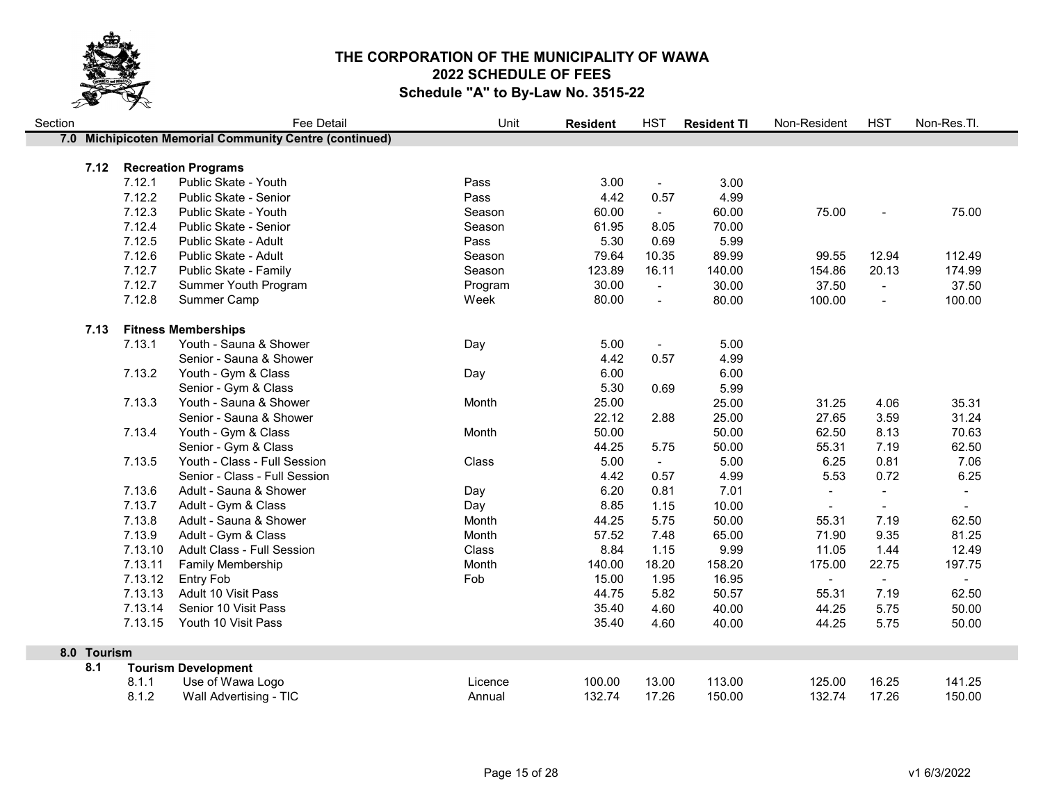

| Section |             |         | <b>Fee Detail</b>                                      | Unit    | <b>Resident</b> | <b>HST</b>     | <b>Resident TI</b> | Non-Resident             | <b>HST</b>               | Non-Res.Tl. |
|---------|-------------|---------|--------------------------------------------------------|---------|-----------------|----------------|--------------------|--------------------------|--------------------------|-------------|
|         |             |         | 7.0 Michipicoten Memorial Community Centre (continued) |         |                 |                |                    |                          |                          |             |
|         |             |         |                                                        |         |                 |                |                    |                          |                          |             |
|         | 7.12        | 7.12.1  | <b>Recreation Programs</b><br>Public Skate - Youth     | Pass    | 3.00            | $\blacksquare$ | 3.00               |                          |                          |             |
|         |             | 7.12.2  | Public Skate - Senior                                  | Pass    | 4.42            | 0.57           | 4.99               |                          |                          |             |
|         |             | 7.12.3  | Public Skate - Youth                                   | Season  | 60.00           | $\sim$         | 60.00              | 75.00                    |                          | 75.00       |
|         |             | 7.12.4  | Public Skate - Senior                                  | Season  | 61.95           | 8.05           | 70.00              |                          |                          |             |
|         |             | 7.12.5  | Public Skate - Adult                                   | Pass    | 5.30            | 0.69           | 5.99               |                          |                          |             |
|         |             | 7.12.6  | Public Skate - Adult                                   | Season  | 79.64           | 10.35          | 89.99              | 99.55                    | 12.94                    | 112.49      |
|         |             | 7.12.7  | Public Skate - Family                                  | Season  | 123.89          | 16.11          | 140.00             | 154.86                   | 20.13                    | 174.99      |
|         |             | 7.12.7  | Summer Youth Program                                   | Program | 30.00           | $\sim$         | 30.00              | 37.50                    | $\blacksquare$           | 37.50       |
|         |             | 7.12.8  | Summer Camp                                            | Week    | 80.00           | $\blacksquare$ | 80.00              | 100.00                   | $\overline{\phantom{a}}$ | 100.00      |
|         |             |         |                                                        |         |                 |                |                    |                          |                          |             |
|         | 7.13        |         | <b>Fitness Memberships</b>                             |         |                 |                |                    |                          |                          |             |
|         |             | 7.13.1  | Youth - Sauna & Shower                                 | Day     | 5.00            | $\blacksquare$ | 5.00               |                          |                          |             |
|         |             |         | Senior - Sauna & Shower                                |         | 4.42            | 0.57           | 4.99               |                          |                          |             |
|         |             | 7.13.2  | Youth - Gym & Class                                    | Day     | 6.00            |                | 6.00               |                          |                          |             |
|         |             |         | Senior - Gym & Class                                   |         | 5.30            | 0.69           | 5.99               |                          |                          |             |
|         |             | 7.13.3  | Youth - Sauna & Shower                                 | Month   | 25.00           |                | 25.00              | 31.25                    | 4.06                     | 35.31       |
|         |             |         | Senior - Sauna & Shower                                |         | 22.12           | 2.88           | 25.00              | 27.65                    | 3.59                     | 31.24       |
|         |             | 7.13.4  | Youth - Gym & Class                                    | Month   | 50.00           |                | 50.00              | 62.50                    | 8.13                     | 70.63       |
|         |             |         | Senior - Gym & Class                                   |         | 44.25           | 5.75           | 50.00              | 55.31                    | 7.19                     | 62.50       |
|         |             | 7.13.5  | Youth - Class - Full Session                           | Class   | 5.00            | $\sim$         | 5.00               | 6.25                     | 0.81                     | 7.06        |
|         |             |         | Senior - Class - Full Session                          |         | 4.42            | 0.57           | 4.99               | 5.53                     | 0.72                     | 6.25        |
|         |             | 7.13.6  | Adult - Sauna & Shower                                 | Day     | 6.20            | 0.81           | 7.01               | $\blacksquare$           | $\blacksquare$           | $\sim$      |
|         |             | 7.13.7  | Adult - Gym & Class                                    | Day     | 8.85            | 1.15           | 10.00              | $\overline{\phantom{a}}$ | $\sim$                   | $\sim$      |
|         |             | 7.13.8  | Adult - Sauna & Shower                                 | Month   | 44.25           | 5.75           | 50.00              | 55.31                    | 7.19                     | 62.50       |
|         |             | 7.13.9  | Adult - Gym & Class                                    | Month   | 57.52           | 7.48           | 65.00              | 71.90                    | 9.35                     | 81.25       |
|         |             | 7.13.10 | <b>Adult Class - Full Session</b>                      | Class   | 8.84            | 1.15           | 9.99               | 11.05                    | 1.44                     | 12.49       |
|         |             | 7.13.11 | Family Membership                                      | Month   | 140.00          | 18.20          | 158.20             | 175.00                   | 22.75                    | 197.75      |
|         |             | 7.13.12 | <b>Entry Fob</b>                                       | Fob     | 15.00           | 1.95           | 16.95              | $\blacksquare$           | $\sim$                   |             |
|         |             | 7.13.13 | Adult 10 Visit Pass                                    |         | 44.75           | 5.82           | 50.57              | 55.31                    | 7.19                     | 62.50       |
|         |             | 7.13.14 | Senior 10 Visit Pass                                   |         | 35.40           | 4.60           | 40.00              | 44.25                    | 5.75                     | 50.00       |
|         |             | 7.13.15 | Youth 10 Visit Pass                                    |         | 35.40           | 4.60           | 40.00              | 44.25                    | 5.75                     | 50.00       |
|         | 8.0 Tourism |         |                                                        |         |                 |                |                    |                          |                          |             |
|         | 8.1         |         | <b>Tourism Development</b>                             |         |                 |                |                    |                          |                          |             |
|         |             | 8.1.1   | Use of Wawa Logo                                       | Licence | 100.00          | 13.00          | 113.00             | 125.00                   | 16.25                    | 141.25      |
|         |             | 8.1.2   | Wall Advertising - TIC                                 | Annual  | 132.74          | 17.26          | 150.00             | 132.74                   | 17.26                    | 150.00      |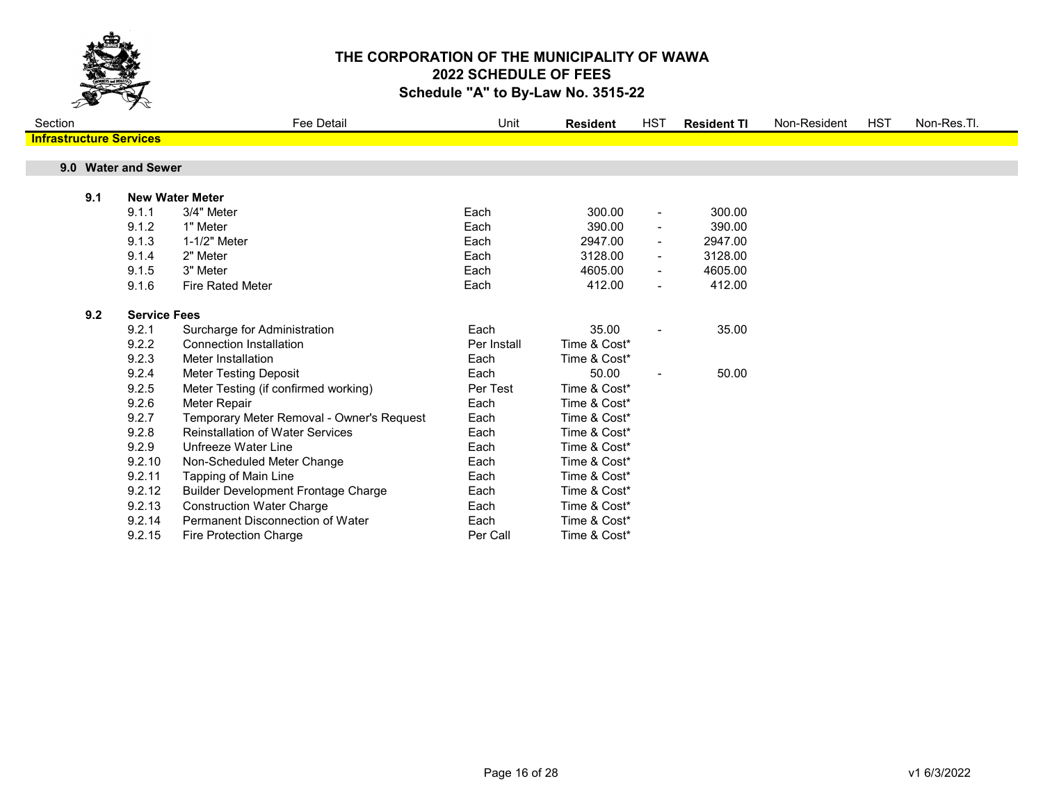

| Section                        |     |                     | <b>Fee Detail</b>                          | Unit        | <b>Resident</b> | HST                      | <b>Resident TI</b> | Non-Resident | <b>HST</b> | Non-Res.Tl. |
|--------------------------------|-----|---------------------|--------------------------------------------|-------------|-----------------|--------------------------|--------------------|--------------|------------|-------------|
| <b>Infrastructure Services</b> |     |                     |                                            |             |                 |                          |                    |              |            |             |
|                                |     |                     |                                            |             |                 |                          |                    |              |            |             |
|                                |     | 9.0 Water and Sewer |                                            |             |                 |                          |                    |              |            |             |
|                                | 9.1 |                     | <b>New Water Meter</b>                     |             |                 |                          |                    |              |            |             |
|                                |     | 9.1.1               | 3/4" Meter                                 | Each        | 300.00          | $\blacksquare$           | 300.00             |              |            |             |
|                                |     | 9.1.2               | 1" Meter                                   | Each        | 390.00          | $\blacksquare$           | 390.00             |              |            |             |
|                                |     | 9.1.3               | 1-1/2" Meter                               | Each        | 2947.00         | $\blacksquare$           | 2947.00            |              |            |             |
|                                |     | 9.1.4               | 2" Meter                                   | Each        | 3128.00         |                          | 3128.00            |              |            |             |
|                                |     | 9.1.5               | 3" Meter                                   | Each        | 4605.00         | $\overline{\phantom{a}}$ | 4605.00            |              |            |             |
|                                |     | 9.1.6               | <b>Fire Rated Meter</b>                    | Each        | 412.00          | $\blacksquare$           | 412.00             |              |            |             |
|                                |     |                     |                                            |             |                 |                          |                    |              |            |             |
|                                | 9.2 | <b>Service Fees</b> |                                            |             |                 |                          |                    |              |            |             |
|                                |     | 9.2.1               | Surcharge for Administration               | Each        | 35.00           | $\blacksquare$           | 35.00              |              |            |             |
|                                |     | 9.2.2               | <b>Connection Installation</b>             | Per Install | Time & Cost*    |                          |                    |              |            |             |
|                                |     | 9.2.3               | Meter Installation                         | Each        | Time & Cost*    |                          |                    |              |            |             |
|                                |     | 9.2.4               | <b>Meter Testing Deposit</b>               | Each        | 50.00           | $\blacksquare$           | 50.00              |              |            |             |
|                                |     | 9.2.5               | Meter Testing (if confirmed working)       | Per Test    | Time & Cost*    |                          |                    |              |            |             |
|                                |     | 9.2.6               | Meter Repair                               | Each        | Time & Cost*    |                          |                    |              |            |             |
|                                |     | 9.2.7               | Temporary Meter Removal - Owner's Request  | Each        | Time & Cost*    |                          |                    |              |            |             |
|                                |     | 9.2.8               | <b>Reinstallation of Water Services</b>    | Each        | Time & Cost*    |                          |                    |              |            |             |
|                                |     | 9.2.9               | Unfreeze Water Line                        | Each        | Time & Cost*    |                          |                    |              |            |             |
|                                |     | 9.2.10              | Non-Scheduled Meter Change                 | Each        | Time & Cost*    |                          |                    |              |            |             |
|                                |     | 9.2.11              | Tapping of Main Line                       | Each        | Time & Cost*    |                          |                    |              |            |             |
|                                |     | 9.2.12              | <b>Builder Development Frontage Charge</b> | Each        | Time & Cost*    |                          |                    |              |            |             |
|                                |     | 9.2.13              | <b>Construction Water Charge</b>           | Each        | Time & Cost*    |                          |                    |              |            |             |
|                                |     | 9.2.14              | Permanent Disconnection of Water           | Each        | Time & Cost*    |                          |                    |              |            |             |
|                                |     | 9.2.15              | <b>Fire Protection Charge</b>              | Per Call    | Time & Cost*    |                          |                    |              |            |             |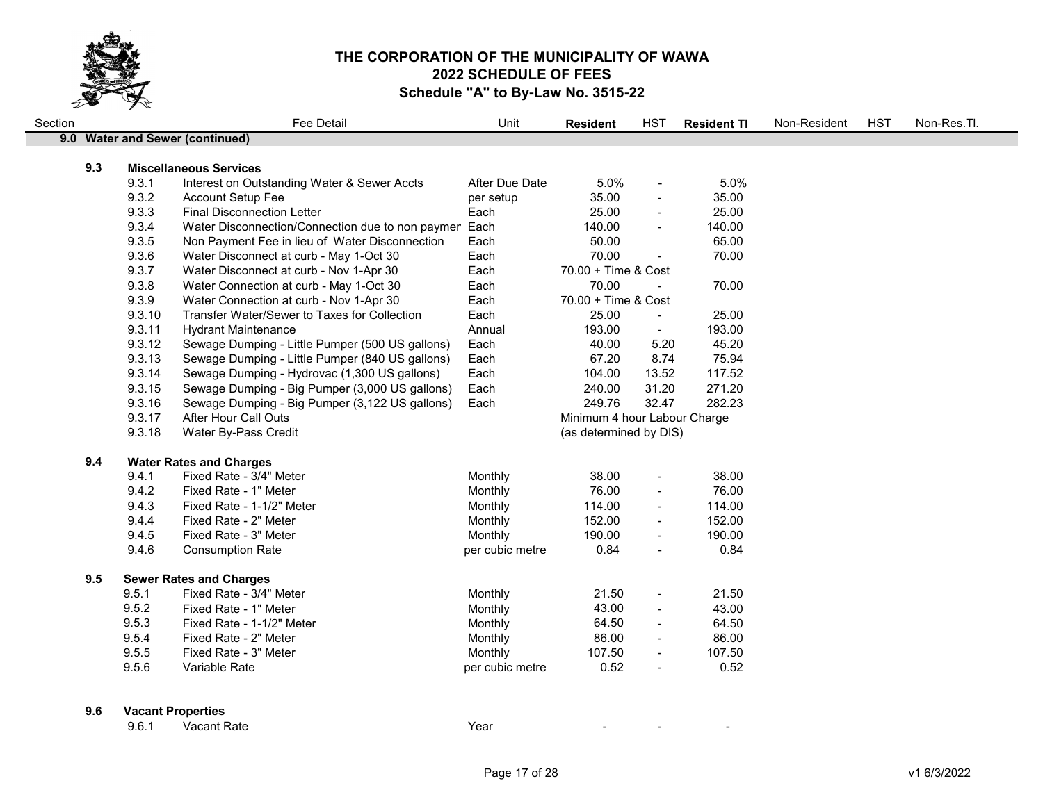

| Section |     |        | Fee Detail                                            | Unit            | <b>Resident</b>              | <b>HST</b>               | <b>Resident TI</b> | Non-Resident | <b>HST</b> | Non-Res.Tl. |
|---------|-----|--------|-------------------------------------------------------|-----------------|------------------------------|--------------------------|--------------------|--------------|------------|-------------|
|         |     |        | 9.0 Water and Sewer (continued)                       |                 |                              |                          |                    |              |            |             |
|         |     |        |                                                       |                 |                              |                          |                    |              |            |             |
|         | 9.3 |        | <b>Miscellaneous Services</b>                         |                 |                              |                          |                    |              |            |             |
|         |     | 9.3.1  | Interest on Outstanding Water & Sewer Accts           | After Due Date  | 5.0%                         | $\blacksquare$           | 5.0%               |              |            |             |
|         |     | 9.3.2  | <b>Account Setup Fee</b>                              | per setup       | 35.00                        | $\sim$                   | 35.00              |              |            |             |
|         |     | 9.3.3  | <b>Final Disconnection Letter</b>                     | Each            | 25.00                        | $\sim$                   | 25.00              |              |            |             |
|         |     | 9.3.4  | Water Disconnection/Connection due to non paymen Each |                 | 140.00                       | $\sim$                   | 140.00             |              |            |             |
|         |     | 9.3.5  | Non Payment Fee in lieu of Water Disconnection        | Each            | 50.00                        |                          | 65.00              |              |            |             |
|         |     | 9.3.6  | Water Disconnect at curb - May 1-Oct 30               | Each            | 70.00                        |                          | 70.00              |              |            |             |
|         |     | 9.3.7  | Water Disconnect at curb - Nov 1-Apr 30               | Each            | 70.00 + Time & Cost          |                          |                    |              |            |             |
|         |     | 9.3.8  | Water Connection at curb - May 1-Oct 30               | Each            | 70.00                        |                          | 70.00              |              |            |             |
|         |     | 9.3.9  | Water Connection at curb - Nov 1-Apr 30               | Each            | 70.00 + Time & Cost          |                          |                    |              |            |             |
|         |     | 9.3.10 | Transfer Water/Sewer to Taxes for Collection          | Each            | 25.00                        | $\sim$                   | 25.00              |              |            |             |
|         |     | 9.3.11 | <b>Hydrant Maintenance</b>                            | Annual          | 193.00                       | $\sim$                   | 193.00             |              |            |             |
|         |     | 9.3.12 | Sewage Dumping - Little Pumper (500 US gallons)       | Each            | 40.00                        | 5.20                     | 45.20              |              |            |             |
|         |     | 9.3.13 | Sewage Dumping - Little Pumper (840 US gallons)       | Each            | 67.20                        | 8.74                     | 75.94              |              |            |             |
|         |     | 9.3.14 | Sewage Dumping - Hydrovac (1,300 US gallons)          | Each            | 104.00                       | 13.52                    | 117.52             |              |            |             |
|         |     | 9.3.15 | Sewage Dumping - Big Pumper (3,000 US gallons)        | Each            | 240.00                       | 31.20                    | 271.20             |              |            |             |
|         |     | 9.3.16 | Sewage Dumping - Big Pumper (3,122 US gallons)        | Each            | 249.76                       | 32.47                    | 282.23             |              |            |             |
|         |     | 9.3.17 | After Hour Call Outs                                  |                 | Minimum 4 hour Labour Charge |                          |                    |              |            |             |
|         |     | 9.3.18 | Water By-Pass Credit                                  |                 | (as determined by DIS)       |                          |                    |              |            |             |
|         |     |        |                                                       |                 |                              |                          |                    |              |            |             |
|         | 9.4 |        | <b>Water Rates and Charges</b>                        |                 |                              |                          |                    |              |            |             |
|         |     | 9.4.1  | Fixed Rate - 3/4" Meter                               | Monthly         | 38.00                        | $\overline{\phantom{a}}$ | 38.00              |              |            |             |
|         |     | 9.4.2  | Fixed Rate - 1" Meter                                 | Monthly         | 76.00                        | $\overline{\phantom{a}}$ | 76.00              |              |            |             |
|         |     | 9.4.3  | Fixed Rate - 1-1/2" Meter                             | Monthly         | 114.00                       | $\overline{\phantom{a}}$ | 114.00             |              |            |             |
|         |     | 9.4.4  | Fixed Rate - 2" Meter                                 | Monthly         | 152.00                       | $\overline{\phantom{a}}$ | 152.00             |              |            |             |
|         |     | 9.4.5  | Fixed Rate - 3" Meter                                 | Monthly         | 190.00                       |                          | 190.00             |              |            |             |
|         |     | 9.4.6  | <b>Consumption Rate</b>                               | per cubic metre | 0.84                         | $\overline{\phantom{a}}$ | 0.84               |              |            |             |
|         | 9.5 |        | <b>Sewer Rates and Charges</b>                        |                 |                              |                          |                    |              |            |             |
|         |     | 9.5.1  | Fixed Rate - 3/4" Meter                               | Monthly         | 21.50                        | $\overline{\phantom{a}}$ | 21.50              |              |            |             |
|         |     | 9.5.2  | Fixed Rate - 1" Meter                                 | Monthly         | 43.00                        | $\blacksquare$           | 43.00              |              |            |             |
|         |     | 9.5.3  | Fixed Rate - 1-1/2" Meter                             | Monthly         | 64.50                        | $\sim$                   | 64.50              |              |            |             |
|         |     | 9.5.4  | Fixed Rate - 2" Meter                                 | Monthly         | 86.00                        | $\overline{\phantom{a}}$ | 86.00              |              |            |             |
|         |     | 9.5.5  | Fixed Rate - 3" Meter                                 | Monthly         | 107.50                       | $\overline{\phantom{a}}$ | 107.50             |              |            |             |
|         |     | 9.5.6  | Variable Rate                                         | per cubic metre | 0.52                         |                          | 0.52               |              |            |             |
|         |     |        |                                                       |                 |                              |                          |                    |              |            |             |
|         |     |        |                                                       |                 |                              |                          |                    |              |            |             |

#### 9.6 Vacant Properties

| 9.6.1 | Vacant Rate | Year |  |  |
|-------|-------------|------|--|--|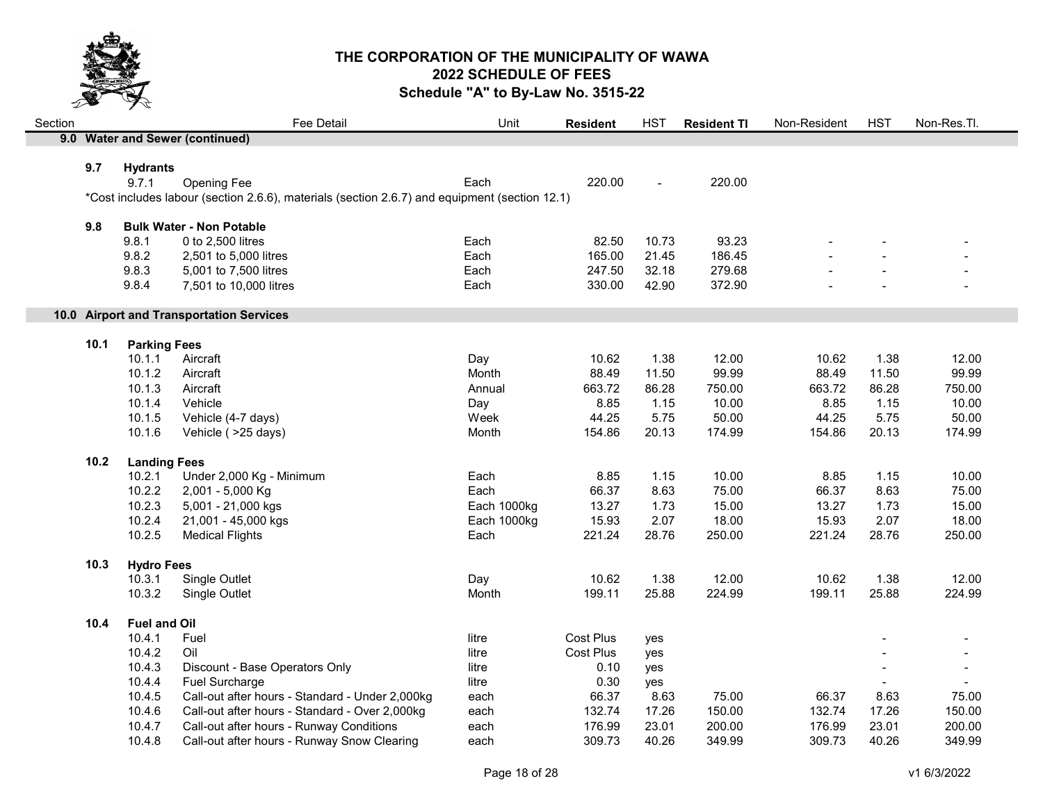

| 9.0 Water and Sewer (continued)<br>9.7<br><b>Hydrants</b><br>9.7.1<br>Opening Fee<br>Each<br>220.00<br>220.00<br>$\sim$<br>*Cost includes labour (section 2.6.6), materials (section 2.6.7) and equipment (section 12.1) |                |
|--------------------------------------------------------------------------------------------------------------------------------------------------------------------------------------------------------------------------|----------------|
|                                                                                                                                                                                                                          |                |
|                                                                                                                                                                                                                          |                |
|                                                                                                                                                                                                                          |                |
|                                                                                                                                                                                                                          |                |
|                                                                                                                                                                                                                          |                |
| 9.8<br><b>Bulk Water - Non Potable</b>                                                                                                                                                                                   |                |
| 9.8.1<br>0 to 2,500 litres<br>82.50<br>10.73<br>93.23<br>Each                                                                                                                                                            |                |
| 9.8.2<br>Each<br>165.00<br>186.45<br>21.45<br>2,501 to 5,000 litres                                                                                                                                                      |                |
| 32.18<br>279.68<br>9.8.3<br>5,001 to 7,500 litres<br>Each<br>247.50                                                                                                                                                      |                |
| 9.8.4<br>330.00<br>372.90<br>7,501 to 10,000 litres<br>Each<br>42.90                                                                                                                                                     |                |
|                                                                                                                                                                                                                          |                |
| 10.0 Airport and Transportation Services                                                                                                                                                                                 |                |
| <b>Parking Fees</b><br>10.1                                                                                                                                                                                              |                |
| 1.38<br>Aircraft<br>10.62<br>12.00<br>10.62<br>1.38<br>10.1.1<br>Day                                                                                                                                                     | 12.00          |
| 99.99<br>10.1.2<br>Month<br>88.49<br>11.50<br>88.49<br>11.50<br>Aircraft                                                                                                                                                 | 99.99          |
| 86.28<br>10.1.3<br>Aircraft<br>663.72<br>86.28<br>750.00<br>663.72<br>Annual                                                                                                                                             | 750.00         |
| 10.1.4<br>Vehicle<br>8.85<br>1.15<br>10.00<br>8.85<br>1.15<br>Day                                                                                                                                                        | 10.00          |
| 10.1.5<br>Vehicle (4-7 days)<br>44.25<br>5.75<br>50.00<br>44.25<br>5.75<br>Week                                                                                                                                          | 50.00          |
| 20.13<br>10.1.6<br>154.86<br>174.99<br>154.86<br>20.13<br>Vehicle ( > 25 days)<br>Month                                                                                                                                  | 174.99         |
|                                                                                                                                                                                                                          |                |
| 10.2<br><b>Landing Fees</b>                                                                                                                                                                                              |                |
| 8.85<br>10.00<br>1.15<br>10.2.1<br>Under 2,000 Kg - Minimum<br>Each<br>1.15<br>8.85                                                                                                                                      | 10.00          |
| 10.2.2<br>Each<br>66.37<br>8.63<br>75.00<br>8.63<br>2,001 - 5,000 Kg<br>66.37                                                                                                                                            | 75.00          |
| 10.2.3<br>Each 1000kg<br>13.27<br>1.73<br>15.00<br>13.27<br>1.73<br>5,001 - 21,000 kgs                                                                                                                                   | 15.00          |
| 2.07<br>18.00<br>2.07<br>10.2.4<br>21,001 - 45,000 kgs<br>Each 1000kg<br>15.93<br>15.93                                                                                                                                  | 18.00          |
| 10.2.5<br>221.24<br>28.76<br>250.00<br>221.24<br>28.76<br><b>Medical Flights</b><br>Each                                                                                                                                 | 250.00         |
| <b>Hydro Fees</b><br>10.3                                                                                                                                                                                                |                |
| 1.38<br>12.00<br>Single Outlet<br>Day<br>10.62<br>10.62<br>1.38<br>10.3.1                                                                                                                                                | 12.00          |
| 199.11<br>25.88<br>224.99<br>199.11<br>25.88<br>10.3.2<br>Single Outlet<br>Month                                                                                                                                         | 224.99         |
| <b>Fuel and Oil</b><br>10.4                                                                                                                                                                                              |                |
| <b>Cost Plus</b><br>10.4.1<br>Fuel<br>litre<br>yes                                                                                                                                                                       |                |
| 10.4.2<br><b>Cost Plus</b><br>Oil<br>litre<br>yes                                                                                                                                                                        | $\blacksquare$ |
| 10.4.3<br>Discount - Base Operators Only<br>0.10<br>litre<br>yes                                                                                                                                                         |                |
| 10.4.4<br>0.30<br>Fuel Surcharge<br>litre<br>yes                                                                                                                                                                         |                |
| 10.4.5<br>Call-out after hours - Standard - Under 2,000kg<br>each<br>66.37<br>8.63<br>75.00<br>66.37<br>8.63                                                                                                             | 75.00          |
| 10.4.6<br>Call-out after hours - Standard - Over 2,000kg<br>132.74<br>17.26<br>150.00<br>132.74<br>17.26<br>each                                                                                                         | 150.00         |
| Call-out after hours - Runway Conditions<br>176.99<br>23.01<br>176.99<br>10.4.7<br>each<br>200.00<br>23.01                                                                                                               | 200.00         |
| 10.4.8<br>Call-out after hours - Runway Snow Clearing<br>309.73<br>40.26<br>309.73<br>40.26<br>each<br>349.99                                                                                                            | 349.99         |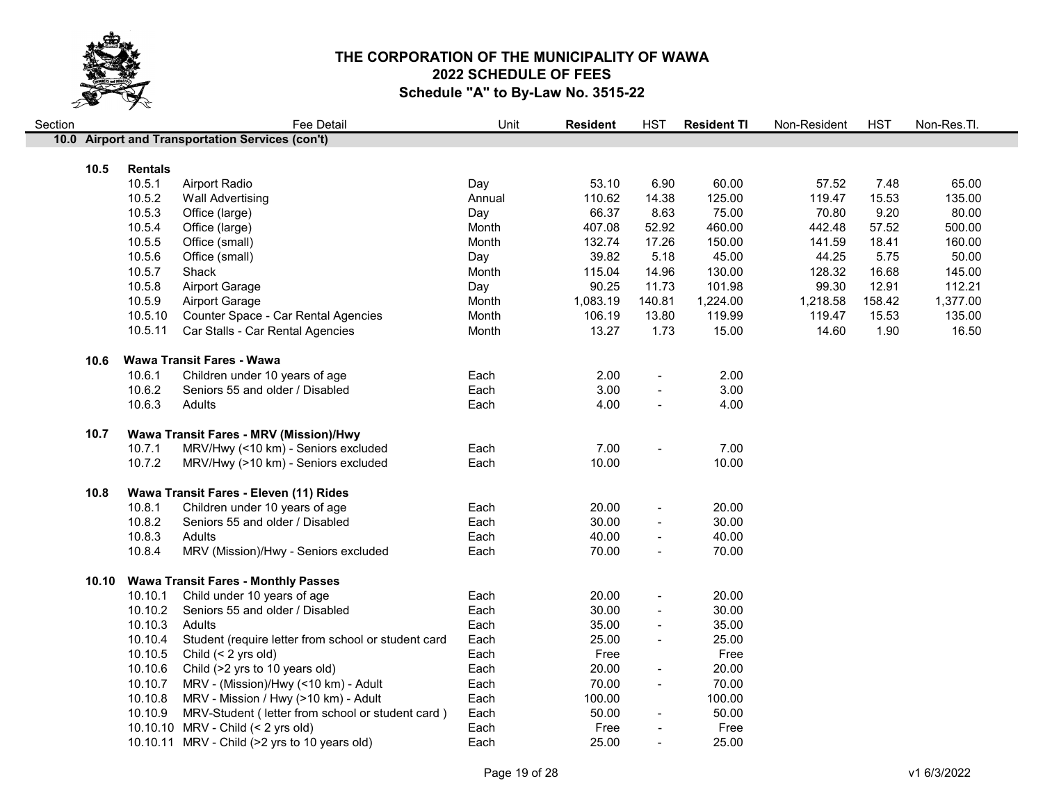

| Section |      |                | Fee Detail                                               | Unit   | <b>Resident</b> | <b>HST</b>               | <b>Resident TI</b> | Non-Resident | <b>HST</b> | Non-Res.Tl. |
|---------|------|----------------|----------------------------------------------------------|--------|-----------------|--------------------------|--------------------|--------------|------------|-------------|
|         |      |                | 10.0 Airport and Transportation Services (con't)         |        |                 |                          |                    |              |            |             |
|         |      |                |                                                          |        |                 |                          |                    |              |            |             |
|         | 10.5 | <b>Rentals</b> |                                                          |        |                 |                          |                    |              |            |             |
|         |      | 10.5.1         | Airport Radio                                            | Day    | 53.10           | 6.90                     | 60.00              | 57.52        | 7.48       | 65.00       |
|         |      | 10.5.2         | <b>Wall Advertising</b>                                  | Annual | 110.62          | 14.38                    | 125.00             | 119.47       | 15.53      | 135.00      |
|         |      | 10.5.3         | Office (large)                                           | Day    | 66.37           | 8.63                     | 75.00              | 70.80        | 9.20       | 80.00       |
|         |      | 10.5.4         | Office (large)                                           | Month  | 407.08          | 52.92                    | 460.00             | 442.48       | 57.52      | 500.00      |
|         |      | 10.5.5         | Office (small)                                           | Month  | 132.74          | 17.26                    | 150.00             | 141.59       | 18.41      | 160.00      |
|         |      | 10.5.6         | Office (small)                                           | Day    | 39.82           | 5.18                     | 45.00              | 44.25        | 5.75       | 50.00       |
|         |      | 10.5.7         | Shack                                                    | Month  | 115.04          | 14.96                    | 130.00             | 128.32       | 16.68      | 145.00      |
|         |      | 10.5.8         | Airport Garage                                           | Day    | 90.25           | 11.73                    | 101.98             | 99.30        | 12.91      | 112.21      |
|         |      | 10.5.9         | Airport Garage                                           | Month  | 1,083.19        | 140.81                   | 1,224.00           | 1,218.58     | 158.42     | 1,377.00    |
|         |      | 10.5.10        | Counter Space - Car Rental Agencies                      | Month  | 106.19          | 13.80                    | 119.99             | 119.47       | 15.53      | 135.00      |
|         |      | 10.5.11        | Car Stalls - Car Rental Agencies                         | Month  | 13.27           | 1.73                     | 15.00              | 14.60        | 1.90       | 16.50       |
|         | 10.6 |                | Wawa Transit Fares - Wawa                                |        |                 |                          |                    |              |            |             |
|         |      | 10.6.1         | Children under 10 years of age                           | Each   | 2.00            |                          | 2.00               |              |            |             |
|         |      | 10.6.2         | Seniors 55 and older / Disabled                          | Each   | 3.00            | $\overline{\phantom{a}}$ | 3.00               |              |            |             |
|         |      | 10.6.3         | Adults                                                   | Each   | 4.00            |                          | 4.00               |              |            |             |
|         |      |                |                                                          |        |                 |                          |                    |              |            |             |
|         | 10.7 |                | Wawa Transit Fares - MRV (Mission)/Hwy                   |        |                 |                          |                    |              |            |             |
|         |      | 10.7.1         | MRV/Hwy (<10 km) - Seniors excluded                      | Each   | 7.00            |                          | 7.00               |              |            |             |
|         |      | 10.7.2         | MRV/Hwy (>10 km) - Seniors excluded                      | Each   | 10.00           |                          | 10.00              |              |            |             |
|         | 10.8 |                | Wawa Transit Fares - Eleven (11) Rides                   |        |                 |                          |                    |              |            |             |
|         |      | 10.8.1         | Children under 10 years of age                           | Each   | 20.00           | $\overline{\phantom{a}}$ | 20.00              |              |            |             |
|         |      | 10.8.2         | Seniors 55 and older / Disabled                          | Each   | 30.00           | $\overline{\phantom{a}}$ | 30.00              |              |            |             |
|         |      | 10.8.3         | Adults                                                   | Each   | 40.00           | $\blacksquare$           | 40.00              |              |            |             |
|         |      | 10.8.4         | MRV (Mission)/Hwy - Seniors excluded                     | Each   | 70.00           | $\blacksquare$           | 70.00              |              |            |             |
|         |      |                |                                                          |        |                 |                          |                    |              |            |             |
|         |      |                | 10.10 Wawa Transit Fares - Monthly Passes                |        |                 |                          |                    |              |            |             |
|         |      | 10.10.1        | Child under 10 years of age                              | Each   | 20.00           | $\blacksquare$           | 20.00              |              |            |             |
|         |      | 10.10.2        | Seniors 55 and older / Disabled                          | Each   | 30.00           | $\overline{\phantom{a}}$ | 30.00              |              |            |             |
|         |      | 10.10.3        | Adults                                                   | Each   | 35.00           |                          | 35.00              |              |            |             |
|         |      | 10.10.4        | Student (require letter from school or student card      | Each   | 25.00           | $\blacksquare$           | 25.00              |              |            |             |
|         |      | 10.10.5        | Child (< 2 yrs old)                                      | Each   | Free            |                          | Free               |              |            |             |
|         |      | 10.10.6        | Child (>2 yrs to 10 years old)                           | Each   | 20.00           | $\overline{\phantom{a}}$ | 20.00              |              |            |             |
|         |      |                | 10.10.7 MRV - (Mission)/Hwy (<10 km) - Adult             | Each   | 70.00           | $\overline{\phantom{a}}$ | 70.00              |              |            |             |
|         |      | 10.10.8        | MRV - Mission / Hwy (>10 km) - Adult                     | Each   | 100.00          |                          | 100.00             |              |            |             |
|         |      |                | 10.10.9 MRV-Student (letter from school or student card) | Each   | 50.00           | $\overline{\phantom{a}}$ | 50.00              |              |            |             |
|         |      |                | 10.10.10 MRV - Child (< 2 yrs old)                       | Each   | Free            |                          | Free               |              |            |             |
|         |      |                | 10.10.11 MRV - Child (>2 yrs to 10 years old)            | Each   | 25.00           |                          | 25.00              |              |            |             |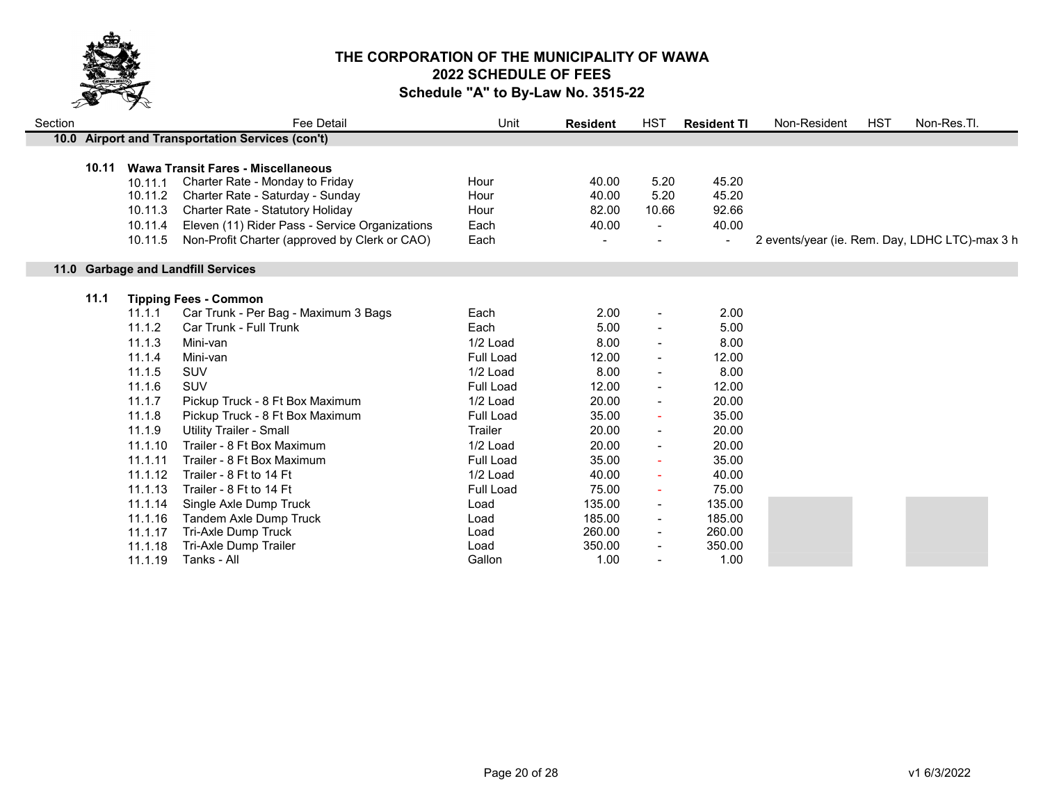

| Section |       |                                                     | Fee Detail                                                                                                                                                                                                                                       | Unit                                 | <b>Resident</b>                  | <b>HST</b>                              | <b>Resident TI</b>                                 | Non-Resident | <b>HST</b> | Non-Res.Tl.                                    |
|---------|-------|-----------------------------------------------------|--------------------------------------------------------------------------------------------------------------------------------------------------------------------------------------------------------------------------------------------------|--------------------------------------|----------------------------------|-----------------------------------------|----------------------------------------------------|--------------|------------|------------------------------------------------|
|         |       |                                                     | 10.0 Airport and Transportation Services (con't)                                                                                                                                                                                                 |                                      |                                  |                                         |                                                    |              |            |                                                |
|         | 10.11 | 10.11.1<br>10.11.2<br>10.11.3<br>10.11.4<br>10.11.5 | Wawa Transit Fares - Miscellaneous<br>Charter Rate - Monday to Friday<br>Charter Rate - Saturday - Sunday<br>Charter Rate - Statutory Holiday<br>Eleven (11) Rider Pass - Service Organizations<br>Non-Profit Charter (approved by Clerk or CAO) | Hour<br>Hour<br>Hour<br>Each<br>Each | 40.00<br>40.00<br>82.00<br>40.00 | 5.20<br>5.20<br>10.66<br>$\blacksquare$ | 45.20<br>45.20<br>92.66<br>40.00<br>$\blacksquare$ |              |            | 2 events/year (ie. Rem. Day, LDHC LTC)-max 3 h |
|         |       |                                                     | 11.0 Garbage and Landfill Services                                                                                                                                                                                                               |                                      |                                  |                                         |                                                    |              |            |                                                |
|         | 11.1  | 11.1.1                                              | <b>Tipping Fees - Common</b><br>Car Trunk - Per Bag - Maximum 3 Bags                                                                                                                                                                             | Each                                 | 2.00                             | $\blacksquare$                          | 2.00                                               |              |            |                                                |
|         |       | 11.1.2                                              | <b>Car Trunk - Full Trunk</b>                                                                                                                                                                                                                    | Each                                 | 5.00                             |                                         | 5.00                                               |              |            |                                                |
|         |       | 11.1.3                                              | Mini-van                                                                                                                                                                                                                                         | 1/2 Load                             | 8.00                             |                                         | 8.00                                               |              |            |                                                |
|         |       | 11.1.4                                              | Mini-van                                                                                                                                                                                                                                         | Full Load                            | 12.00                            |                                         | 12.00                                              |              |            |                                                |
|         |       | 11.1.5                                              | <b>SUV</b>                                                                                                                                                                                                                                       | 1/2 Load                             | 8.00                             |                                         | 8.00                                               |              |            |                                                |
|         |       | 11.16                                               | <b>SUV</b>                                                                                                                                                                                                                                       | <b>Full Load</b>                     | 12.00                            |                                         | 12.00                                              |              |            |                                                |
|         |       | 11.1.7                                              | Pickup Truck - 8 Ft Box Maximum                                                                                                                                                                                                                  | 1/2 Load                             | 20.00                            |                                         | 20.00                                              |              |            |                                                |
|         |       | 11.1.8                                              | Pickup Truck - 8 Ft Box Maximum                                                                                                                                                                                                                  | <b>Full Load</b>                     | 35.00                            |                                         | 35.00                                              |              |            |                                                |
|         |       | 11.1.9                                              | <b>Utility Trailer - Small</b>                                                                                                                                                                                                                   | Trailer                              | 20.00                            | $\sim$                                  | 20.00                                              |              |            |                                                |
|         |       | 11.1.10                                             | Trailer - 8 Ft Box Maximum                                                                                                                                                                                                                       | 1/2 Load                             | 20.00                            |                                         | 20.00                                              |              |            |                                                |
|         |       | 11.1.11                                             | Trailer - 8 Ft Box Maximum                                                                                                                                                                                                                       | <b>Full Load</b>                     | 35.00                            |                                         | 35.00                                              |              |            |                                                |
|         |       | 11.1.12                                             | Trailer - 8 Ft to 14 Ft                                                                                                                                                                                                                          | 1/2 Load                             | 40.00                            |                                         | 40.00                                              |              |            |                                                |
|         |       | 11.1.13                                             | Trailer - 8 Ft to 14 Ft                                                                                                                                                                                                                          | Full Load                            | 75.00                            | $\sim$                                  | 75.00                                              |              |            |                                                |
|         |       | 11.1.14                                             | Single Axle Dump Truck                                                                                                                                                                                                                           | Load                                 | 135.00                           | $\blacksquare$                          | 135.00                                             |              |            |                                                |
|         |       | 11.1.16                                             | Tandem Axle Dump Truck                                                                                                                                                                                                                           | Load                                 | 185.00                           |                                         | 185.00                                             |              |            |                                                |
|         |       | 11.1.17                                             | Tri-Axle Dump Truck                                                                                                                                                                                                                              | Load                                 | 260.00                           |                                         | 260.00                                             |              |            |                                                |
|         |       | 11.1.18                                             | Tri-Axle Dump Trailer                                                                                                                                                                                                                            | Load                                 | 350.00                           |                                         | 350.00                                             |              |            |                                                |
|         |       | 11.1.19                                             | Tanks - All                                                                                                                                                                                                                                      | Gallon                               | 1.00                             |                                         | 1.00                                               |              |            |                                                |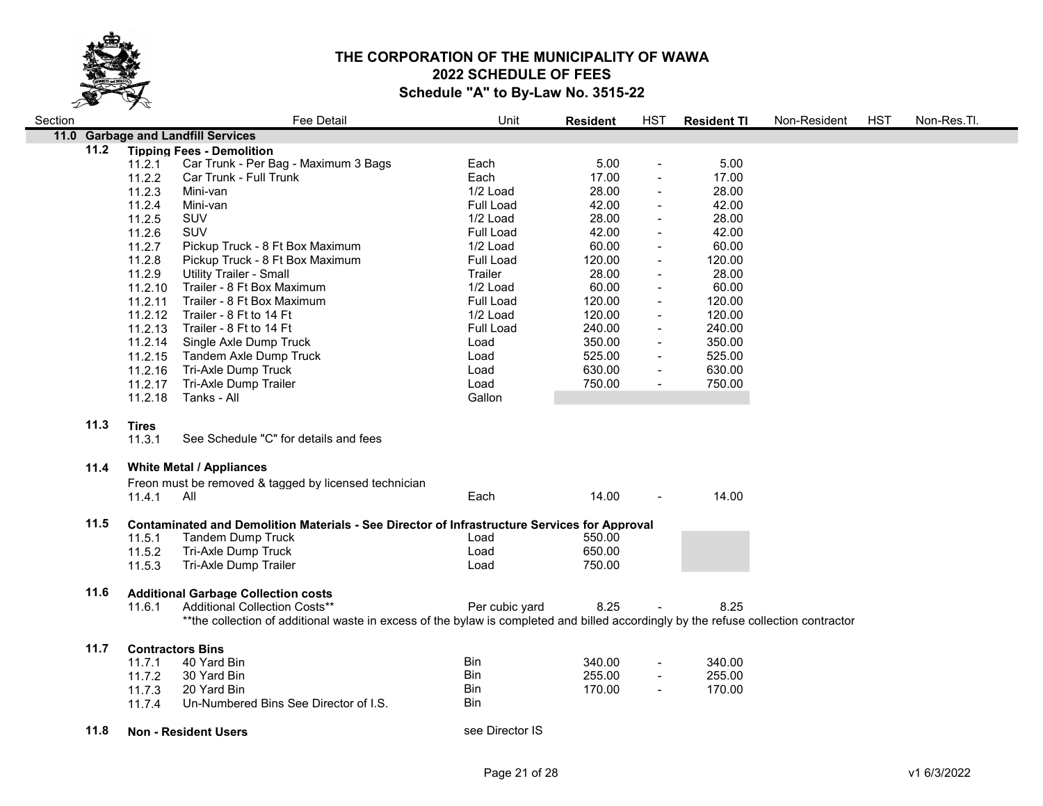

| 11.0 Garbage and Landfill Services<br>11.2<br><b>Tipping Fees - Demolition</b>                                                      |  |
|-------------------------------------------------------------------------------------------------------------------------------------|--|
|                                                                                                                                     |  |
|                                                                                                                                     |  |
| Car Trunk - Per Bag - Maximum 3 Bags<br>Each<br>5.00<br>5.00<br>11.2.1<br>$\blacksquare$                                            |  |
| Each<br>11.2.2<br>Car Trunk - Full Trunk<br>17.00<br>17.00                                                                          |  |
| 28.00<br>28.00<br>11.2.3<br>1/2 Load<br>Mini-van                                                                                    |  |
| 11.2.4<br>Mini-van<br>Full Load<br>42.00<br>42.00<br>$\blacksquare$                                                                 |  |
| 28.00<br>28.00<br>11.2.5<br>SUV<br>1/2 Load<br>$\blacksquare$                                                                       |  |
| 11.2.6<br>SUV<br>42.00<br>42.00<br>Full Load<br>$\blacksquare$                                                                      |  |
| 11.2.7<br>60.00<br>60.00<br>Pickup Truck - 8 Ft Box Maximum<br>1/2 Load<br>$\blacksquare$                                           |  |
| 11.2.8<br>Pickup Truck - 8 Ft Box Maximum<br>Full Load<br>120.00<br>120.00                                                          |  |
| 11.2.9<br>28.00<br>28.00<br><b>Utility Trailer - Small</b><br>Trailer<br>$\blacksquare$                                             |  |
| 11.2.10<br>1/2 Load<br>60.00<br>60.00<br>Trailer - 8 Ft Box Maximum<br>$\blacksquare$                                               |  |
| Full Load<br>120.00<br>120.00<br>11.2.11<br>Trailer - 8 Ft Box Maximum<br>$\blacksquare$                                            |  |
| 120.00<br>120.00<br>11.2.12<br>Trailer - 8 Ft to 14 Ft<br>1/2 Load<br>$\blacksquare$                                                |  |
| 240.00<br>240.00<br>11.2.13<br>Trailer - 8 Ft to 14 Ft<br>Full Load<br>$\blacksquare$                                               |  |
| 11.2.14<br>350.00<br>350.00<br>Single Axle Dump Truck<br>Load<br>$\blacksquare$                                                     |  |
| <b>Tandem Axle Dump Truck</b><br>525.00<br>525.00<br>11.2.15<br>Load<br>$\blacksquare$                                              |  |
| Tri-Axle Dump Truck<br>630.00<br>11.2.16<br>630.00<br>Load<br>$\blacksquare$                                                        |  |
| 11.2.17<br>Tri-Axle Dump Trailer<br>750.00<br>750.00<br>Load<br>$\blacksquare$                                                      |  |
| 11.2.18<br>Tanks - All<br>Gallon                                                                                                    |  |
|                                                                                                                                     |  |
| 11.3<br><b>Tires</b>                                                                                                                |  |
| 11.3.1<br>See Schedule "C" for details and fees                                                                                     |  |
| <b>White Metal / Appliances</b><br>11.4                                                                                             |  |
| Freon must be removed & tagged by licensed technician                                                                               |  |
| 14.00<br>14.00<br>All<br>Each<br>11.4.1                                                                                             |  |
|                                                                                                                                     |  |
| 11.5<br>Contaminated and Demolition Materials - See Director of Infrastructure Services for Approval                                |  |
| <b>Tandem Dump Truck</b><br>550.00<br>11.5.1<br>Load                                                                                |  |
| 650.00<br>11.5.2<br>Tri-Axle Dump Truck<br>Load                                                                                     |  |
| Tri-Axle Dump Trailer<br>11.5.3<br>Load<br>750.00                                                                                   |  |
|                                                                                                                                     |  |
| 11.6<br><b>Additional Garbage Collection costs</b>                                                                                  |  |
| 8.25<br>8.25<br>Additional Collection Costs**<br>Per cubic yard<br>11.6.1                                                           |  |
| **the collection of additional waste in excess of the bylaw is completed and billed accordingly by the refuse collection contractor |  |
|                                                                                                                                     |  |
| 11.7<br><b>Contractors Bins</b>                                                                                                     |  |
| Bin<br>40 Yard Bin<br>340.00<br>340.00<br>11.7.1                                                                                    |  |
| 255.00<br>30 Yard Bin<br>Bin<br>255.00<br>11.7.2<br>$\blacksquare$                                                                  |  |
| 20 Yard Bin<br><b>Bin</b><br>170.00<br>170.00<br>11.7.3<br>$\overline{\phantom{a}}$                                                 |  |
| Un-Numbered Bins See Director of I.S.<br><b>Bin</b><br>11.7.4                                                                       |  |
| see Director IS<br>11.8<br><b>Non - Resident Users</b>                                                                              |  |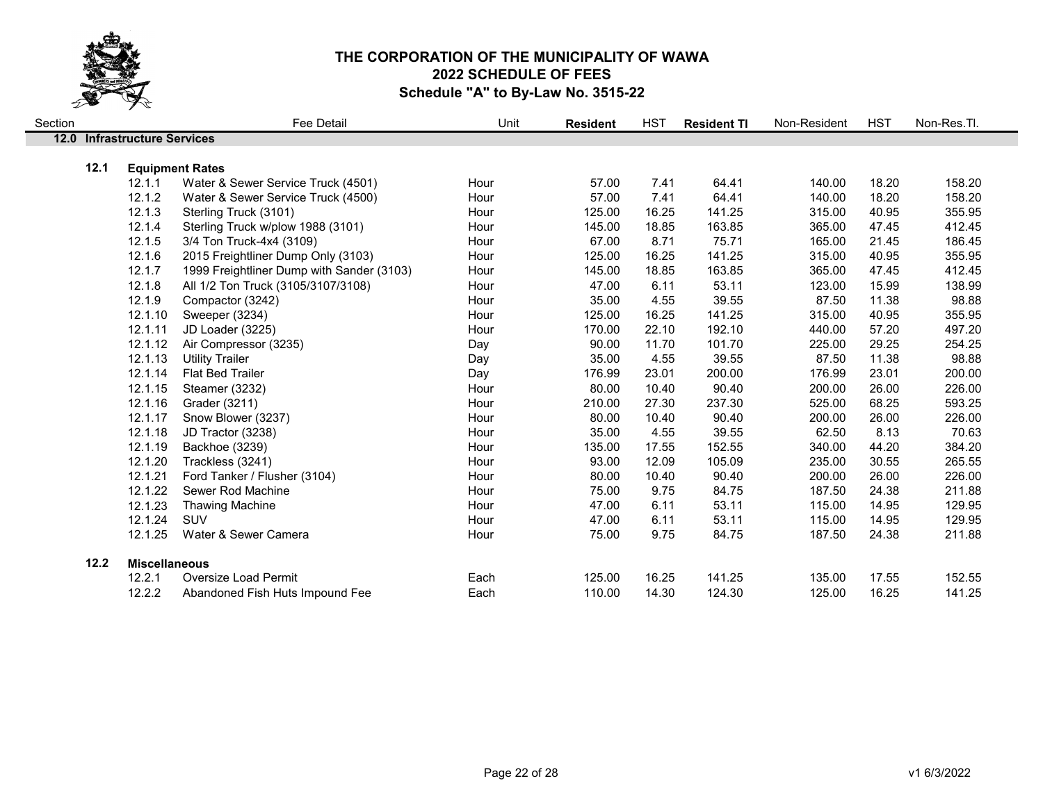

| Section |      |                              | Fee Detail                                                   | Unit | <b>Resident</b> | <b>HST</b> | <b>Resident TI</b> | Non-Resident | <b>HST</b> | Non-Res.Tl. |
|---------|------|------------------------------|--------------------------------------------------------------|------|-----------------|------------|--------------------|--------------|------------|-------------|
|         |      | 12.0 Infrastructure Services |                                                              |      |                 |            |                    |              |            |             |
|         |      |                              |                                                              |      |                 |            |                    |              |            |             |
|         | 12.1 | 12.1.1                       | <b>Equipment Rates</b><br>Water & Sewer Service Truck (4501) | Hour | 57.00           | 7.41       | 64.41              | 140.00       | 18.20      | 158.20      |
|         |      |                              |                                                              |      |                 |            |                    |              |            |             |
|         |      | 12.1.2                       | Water & Sewer Service Truck (4500)                           | Hour | 57.00           | 7.41       | 64.41              | 140.00       | 18.20      | 158.20      |
|         |      | 12.1.3                       | Sterling Truck (3101)                                        | Hour | 125.00          | 16.25      | 141.25             | 315.00       | 40.95      | 355.95      |
|         |      | 12.1.4                       | Sterling Truck w/plow 1988 (3101)                            | Hour | 145.00          | 18.85      | 163.85             | 365.00       | 47.45      | 412.45      |
|         |      | 12.1.5                       | 3/4 Ton Truck-4x4 (3109)                                     | Hour | 67.00           | 8.71       | 75.71              | 165.00       | 21.45      | 186.45      |
|         |      | 12.1.6                       | 2015 Freightliner Dump Only (3103)                           | Hour | 125.00          | 16.25      | 141.25             | 315.00       | 40.95      | 355.95      |
|         |      | 12.1.7                       | 1999 Freightliner Dump with Sander (3103)                    | Hour | 145.00          | 18.85      | 163.85             | 365.00       | 47.45      | 412.45      |
|         |      | 12.1.8                       | All 1/2 Ton Truck (3105/3107/3108)                           | Hour | 47.00           | 6.11       | 53.11              | 123.00       | 15.99      | 138.99      |
|         |      | 12.1.9                       | Compactor (3242)                                             | Hour | 35.00           | 4.55       | 39.55              | 87.50        | 11.38      | 98.88       |
|         |      | 12.1.10                      | Sweeper (3234)                                               | Hour | 125.00          | 16.25      | 141.25             | 315.00       | 40.95      | 355.95      |
|         |      | 12.1.11                      | JD Loader (3225)                                             | Hour | 170.00          | 22.10      | 192.10             | 440.00       | 57.20      | 497.20      |
|         |      | 12.1.12                      | Air Compressor (3235)                                        | Day  | 90.00           | 11.70      | 101.70             | 225.00       | 29.25      | 254.25      |
|         |      | 12.1.13                      | <b>Utility Trailer</b>                                       | Day  | 35.00           | 4.55       | 39.55              | 87.50        | 11.38      | 98.88       |
|         |      | 12.1.14                      | <b>Flat Bed Trailer</b>                                      | Day  | 176.99          | 23.01      | 200.00             | 176.99       | 23.01      | 200.00      |
|         |      | 12.1.15                      | Steamer (3232)                                               | Hour | 80.00           | 10.40      | 90.40              | 200.00       | 26.00      | 226.00      |
|         |      | 12.1.16                      | Grader (3211)                                                | Hour | 210.00          | 27.30      | 237.30             | 525.00       | 68.25      | 593.25      |
|         |      | 12.1.17                      | Snow Blower (3237)                                           | Hour | 80.00           | 10.40      | 90.40              | 200.00       | 26.00      | 226.00      |
|         |      | 12.1.18                      | JD Tractor (3238)                                            | Hour | 35.00           | 4.55       | 39.55              | 62.50        | 8.13       | 70.63       |
|         |      | 12.1.19                      | Backhoe (3239)                                               | Hour | 135.00          | 17.55      | 152.55             | 340.00       | 44.20      | 384.20      |
|         |      | 12.1.20                      | Trackless (3241)                                             | Hour | 93.00           | 12.09      | 105.09             | 235.00       | 30.55      | 265.55      |
|         |      | 12.1.21                      | Ford Tanker / Flusher (3104)                                 | Hour | 80.00           | 10.40      | 90.40              | 200.00       | 26.00      | 226.00      |
|         |      | 12.1.22                      | Sewer Rod Machine                                            | Hour | 75.00           | 9.75       | 84.75              | 187.50       | 24.38      | 211.88      |
|         |      | 12.1.23                      | <b>Thawing Machine</b>                                       | Hour | 47.00           | 6.11       | 53.11              | 115.00       | 14.95      | 129.95      |
|         |      | 12.1.24                      | <b>SUV</b>                                                   | Hour | 47.00           | 6.11       | 53.11              | 115.00       | 14.95      | 129.95      |
|         |      | 12.1.25                      | Water & Sewer Camera                                         | Hour | 75.00           | 9.75       | 84.75              | 187.50       | 24.38      | 211.88      |
|         |      |                              |                                                              |      |                 |            |                    |              |            |             |
|         | 12.2 | <b>Miscellaneous</b>         |                                                              |      |                 |            |                    |              |            |             |
|         |      | 12.2.1                       | <b>Oversize Load Permit</b>                                  | Each | 125.00          | 16.25      | 141.25             | 135.00       | 17.55      | 152.55      |
|         |      | 12.2.2                       | Abandoned Fish Huts Impound Fee                              | Each | 110.00          | 14.30      | 124.30             | 125.00       | 16.25      | 141.25      |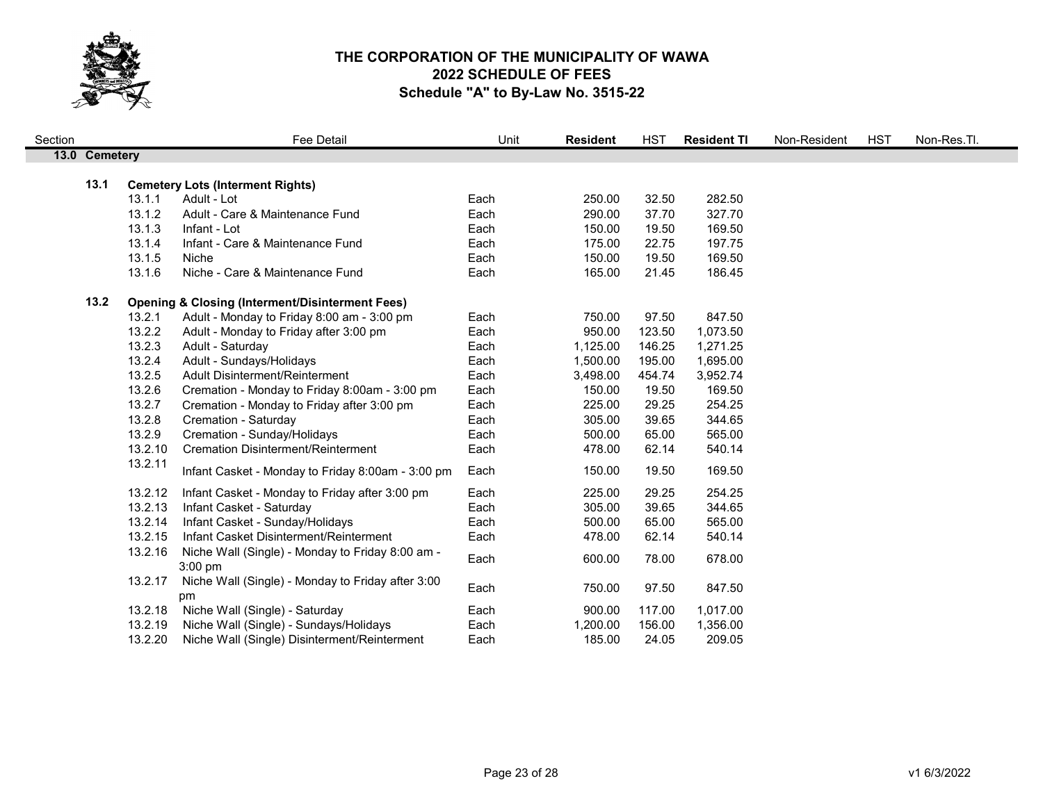

| Section |               |         | <b>Fee Detail</b>                                                    | Unit | <b>Resident</b> | <b>HST</b> | <b>Resident TI</b> | Non-Resident | <b>HST</b> | Non-Res.Tl. |
|---------|---------------|---------|----------------------------------------------------------------------|------|-----------------|------------|--------------------|--------------|------------|-------------|
|         | 13.0 Cemetery |         |                                                                      |      |                 |            |                    |              |            |             |
|         |               |         |                                                                      |      |                 |            |                    |              |            |             |
|         | 13.1          |         | <b>Cemetery Lots (Interment Rights)</b>                              |      |                 |            |                    |              |            |             |
|         |               | 13.1.1  | Adult - Lot                                                          | Each | 250.00          | 32.50      | 282.50             |              |            |             |
|         |               | 13.1.2  | Adult - Care & Maintenance Fund                                      | Each | 290.00          | 37.70      | 327.70             |              |            |             |
|         |               | 13.1.3  | Infant - Lot                                                         | Each | 150.00          | 19.50      | 169.50             |              |            |             |
|         |               | 13.1.4  | Infant - Care & Maintenance Fund                                     | Each | 175.00          | 22.75      | 197.75             |              |            |             |
|         |               | 13.1.5  | Niche                                                                | Each | 150.00          | 19.50      | 169.50             |              |            |             |
|         |               | 13.1.6  | Niche - Care & Maintenance Fund                                      | Each | 165.00          | 21.45      | 186.45             |              |            |             |
|         | 13.2          |         | <b>Opening &amp; Closing (Interment/Disinterment Fees)</b>           |      |                 |            |                    |              |            |             |
|         |               | 13.2.1  | Adult - Monday to Friday 8:00 am - 3:00 pm                           | Each | 750.00          | 97.50      | 847.50             |              |            |             |
|         |               | 13.2.2  | Adult - Monday to Friday after 3:00 pm                               | Each | 950.00          | 123.50     | 1,073.50           |              |            |             |
|         |               | 13.2.3  | Adult - Saturday                                                     | Each | 1,125.00        | 146.25     | 1,271.25           |              |            |             |
|         |               | 13.2.4  | Adult - Sundays/Holidays                                             | Each | 1,500.00        | 195.00     | 1,695.00           |              |            |             |
|         |               | 13.2.5  | Adult Disinterment/Reinterment                                       | Each | 3,498.00        | 454.74     | 3,952.74           |              |            |             |
|         |               | 13.2.6  | Cremation - Monday to Friday 8:00am - 3:00 pm                        | Each | 150.00          | 19.50      | 169.50             |              |            |             |
|         |               | 13.2.7  | Cremation - Monday to Friday after 3:00 pm                           | Each | 225.00          | 29.25      | 254.25             |              |            |             |
|         |               | 13.2.8  | Cremation - Saturday                                                 | Each | 305.00          | 39.65      | 344.65             |              |            |             |
|         |               | 13.2.9  | Cremation - Sunday/Holidays                                          | Each | 500.00          | 65.00      | 565.00             |              |            |             |
|         |               | 13.2.10 | <b>Cremation Disinterment/Reinterment</b>                            | Each | 478.00          | 62.14      | 540.14             |              |            |             |
|         |               | 13.2.11 | Infant Casket - Monday to Friday 8:00am - 3:00 pm                    | Each | 150.00          | 19.50      | 169.50             |              |            |             |
|         |               | 13.2.12 | Infant Casket - Monday to Friday after 3:00 pm                       | Each | 225.00          | 29.25      | 254.25             |              |            |             |
|         |               | 13.2.13 | Infant Casket - Saturday                                             | Each | 305.00          | 39.65      | 344.65             |              |            |             |
|         |               | 13.2.14 | Infant Casket - Sunday/Holidays                                      | Each | 500.00          | 65.00      | 565.00             |              |            |             |
|         |               | 13.2.15 | Infant Casket Disinterment/Reinterment                               | Each | 478.00          | 62.14      | 540.14             |              |            |             |
|         |               | 13.2.16 | Niche Wall (Single) - Monday to Friday 8:00 am -                     | Each | 600.00          | 78.00      | 678.00             |              |            |             |
|         |               | 13.2.17 | $3:00$ pm<br>Niche Wall (Single) - Monday to Friday after 3:00<br>pm | Each | 750.00          | 97.50      | 847.50             |              |            |             |
|         |               | 13.2.18 | Niche Wall (Single) - Saturday                                       | Each | 900.00          | 117.00     | 1,017.00           |              |            |             |
|         |               | 13.2.19 | Niche Wall (Single) - Sundays/Holidays                               | Each | 1,200.00        | 156.00     | 1,356.00           |              |            |             |
|         |               | 13.2.20 | Niche Wall (Single) Disinterment/Reinterment                         | Each | 185.00          | 24.05      | 209.05             |              |            |             |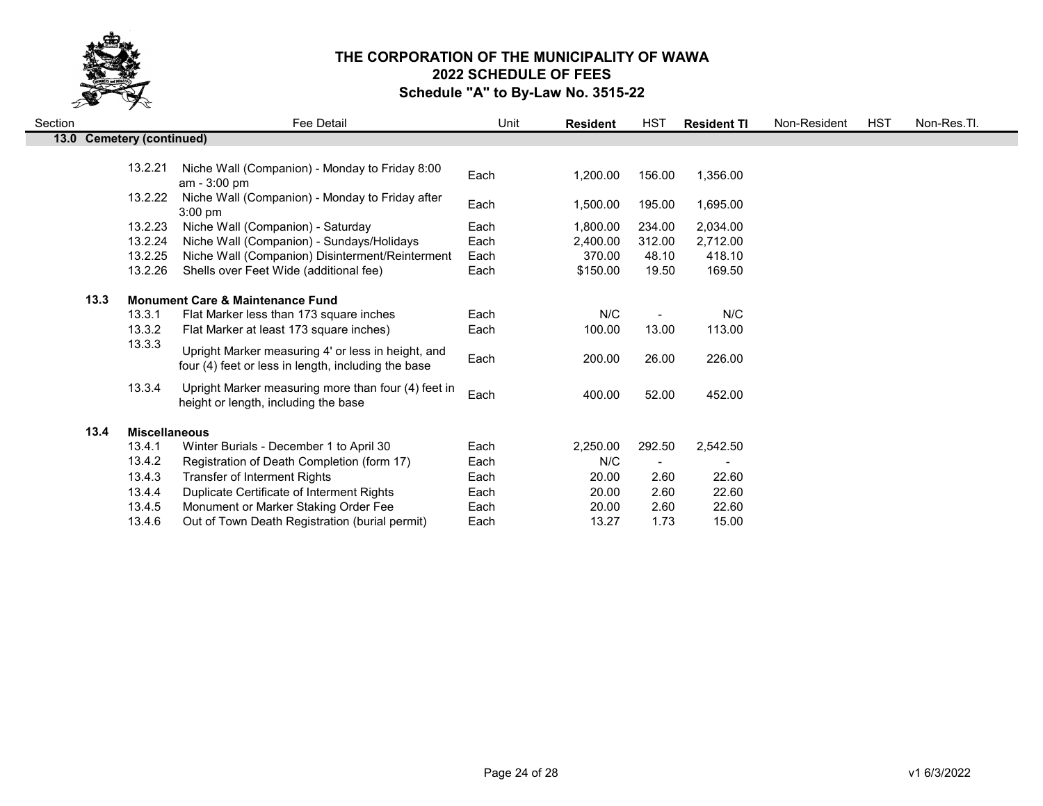

| Section |                              | Fee Detail                                                                                                | Unit | <b>Resident</b> | HST    | <b>Resident TI</b> | Non-Resident | <b>HST</b> | Non-Res.Tl. |
|---------|------------------------------|-----------------------------------------------------------------------------------------------------------|------|-----------------|--------|--------------------|--------------|------------|-------------|
| 13.0    | <b>Cemetery (continued)</b>  |                                                                                                           |      |                 |        |                    |              |            |             |
|         | 13.2.21                      | Niche Wall (Companion) - Monday to Friday 8:00<br>$am - 3:00 pm$                                          | Each | 1,200.00        | 156.00 | 1,356.00           |              |            |             |
|         | 13.2.22                      | Niche Wall (Companion) - Monday to Friday after<br>$3:00$ pm                                              | Each | 1,500.00        | 195.00 | 1,695.00           |              |            |             |
|         | 13.2.23                      | Niche Wall (Companion) - Saturday                                                                         | Each | 1,800.00        | 234.00 | 2,034.00           |              |            |             |
|         | 13.2.24                      | Niche Wall (Companion) - Sundays/Holidays                                                                 | Each | 2,400.00        | 312.00 | 2,712.00           |              |            |             |
|         | 13.2.25                      | Niche Wall (Companion) Disinterment/Reinterment                                                           | Each | 370.00          | 48.10  | 418.10             |              |            |             |
|         | 13.2.26                      | Shells over Feet Wide (additional fee)                                                                    | Each | \$150.00        | 19.50  | 169.50             |              |            |             |
|         | 13.3                         | <b>Monument Care &amp; Maintenance Fund</b>                                                               |      |                 |        |                    |              |            |             |
|         | 13.3.1                       | Flat Marker less than 173 square inches                                                                   | Each | N/C             |        | N/C                |              |            |             |
|         | 13.3.2                       | Flat Marker at least 173 square inches)                                                                   | Each | 100.00          | 13.00  | 113.00             |              |            |             |
|         | 13.3.3                       | Upright Marker measuring 4' or less in height, and<br>four (4) feet or less in length, including the base | Each | 200.00          | 26.00  | 226.00             |              |            |             |
|         | 13.3.4                       | Upright Marker measuring more than four (4) feet in<br>height or length, including the base               | Each | 400.00          | 52.00  | 452.00             |              |            |             |
|         | <b>Miscellaneous</b><br>13.4 |                                                                                                           |      |                 |        |                    |              |            |             |
|         | 13.4.1                       | Winter Burials - December 1 to April 30                                                                   | Each | 2,250.00        | 292.50 | 2,542.50           |              |            |             |
|         | 13.4.2                       | Registration of Death Completion (form 17)                                                                | Each | N/C             |        |                    |              |            |             |
|         | 13.4.3                       | Transfer of Interment Rights                                                                              | Each | 20.00           | 2.60   | 22.60              |              |            |             |
|         | 13.4.4                       | Duplicate Certificate of Interment Rights                                                                 | Each | 20.00           | 2.60   | 22.60              |              |            |             |
|         | 13.4.5                       | Monument or Marker Staking Order Fee                                                                      | Each | 20.00           | 2.60   | 22.60              |              |            |             |
|         | 13.4.6                       | Out of Town Death Registration (burial permit)                                                            | Each | 13.27           | 1.73   | 15.00              |              |            |             |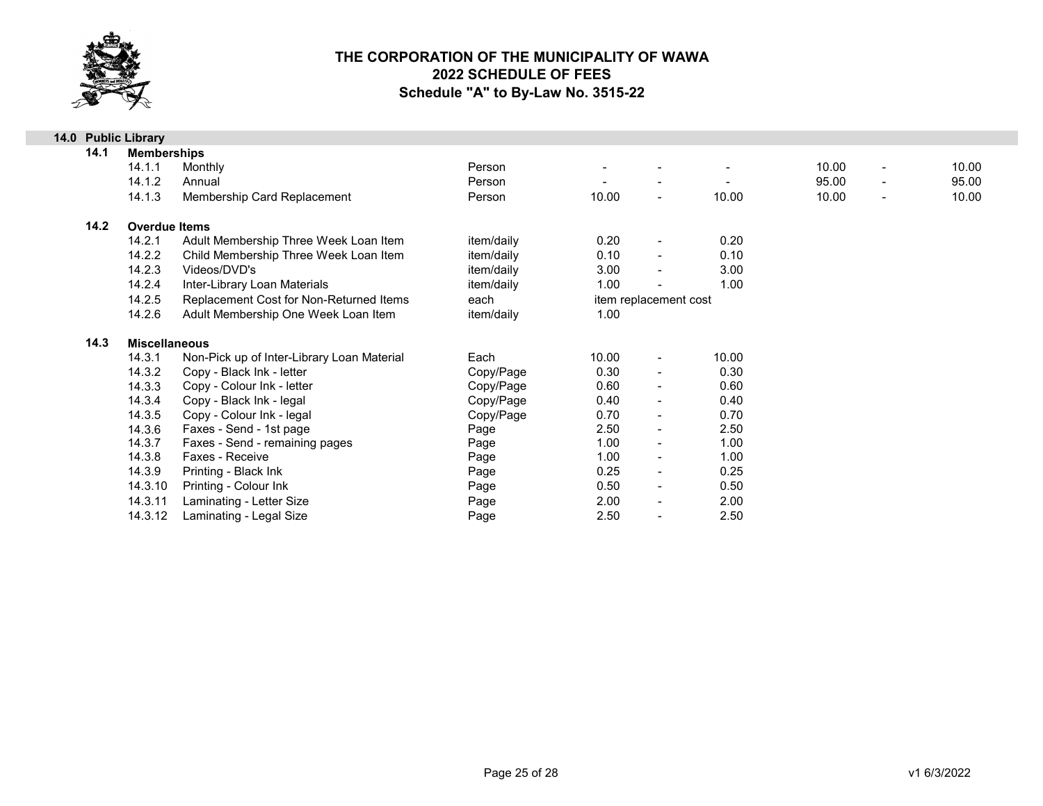

|      | 14.0 Public Library  |                                            |            |                       |                          |       |                                   |       |
|------|----------------------|--------------------------------------------|------------|-----------------------|--------------------------|-------|-----------------------------------|-------|
| 14.1 | <b>Memberships</b>   |                                            |            |                       |                          |       |                                   |       |
|      | 14.1.1               | Monthly                                    | Person     |                       |                          |       | 10.00<br>$\overline{\phantom{a}}$ | 10.00 |
|      | 14.1.2               | Annual                                     | Person     |                       |                          |       | 95.00<br>$\overline{\phantom{a}}$ | 95.00 |
|      | 14.1.3               | Membership Card Replacement                | Person     | 10.00                 | $\sim$                   | 10.00 | 10.00<br>$\blacksquare$           | 10.00 |
| 14.2 | <b>Overdue Items</b> |                                            |            |                       |                          |       |                                   |       |
|      | 14.2.1               | Adult Membership Three Week Loan Item      | item/daily | 0.20                  | $\blacksquare$           | 0.20  |                                   |       |
|      | 14.2.2               | Child Membership Three Week Loan Item      | item/daily | 0.10                  | $\blacksquare$           | 0.10  |                                   |       |
|      | 14.2.3               | Videos/DVD's                               | item/daily | 3.00                  | $\blacksquare$           | 3.00  |                                   |       |
|      | 14.2.4               | Inter-Library Loan Materials               | item/daily | 1.00                  |                          | 1.00  |                                   |       |
|      | 14.2.5               | Replacement Cost for Non-Returned Items    | each       | item replacement cost |                          |       |                                   |       |
|      | 14.2.6               | Adult Membership One Week Loan Item        | item/daily | 1.00                  |                          |       |                                   |       |
| 14.3 | <b>Miscellaneous</b> |                                            |            |                       |                          |       |                                   |       |
|      | 14.3.1               | Non-Pick up of Inter-Library Loan Material | Each       | 10.00                 | $\overline{\phantom{a}}$ | 10.00 |                                   |       |
|      | 14.3.2               | Copy - Black Ink - letter                  | Copy/Page  | 0.30                  | $\blacksquare$           | 0.30  |                                   |       |
|      | 14.3.3               | Copy - Colour Ink - letter                 | Copy/Page  | 0.60                  | $\blacksquare$           | 0.60  |                                   |       |
|      | 14.3.4               | Copy - Black Ink - legal                   | Copy/Page  | 0.40                  | $\blacksquare$           | 0.40  |                                   |       |
|      | 14.3.5               | Copy - Colour Ink - legal                  | Copy/Page  | 0.70                  | $\blacksquare$           | 0.70  |                                   |       |
|      | 14.3.6               | Faxes - Send - 1st page                    | Page       | 2.50                  | $\blacksquare$           | 2.50  |                                   |       |
|      | 14.3.7               | Faxes - Send - remaining pages             | Page       | 1.00                  | $\blacksquare$           | 1.00  |                                   |       |
|      | 14.3.8               | Faxes - Receive                            | Page       | 1.00                  | $\blacksquare$           | 1.00  |                                   |       |
|      | 14.3.9               | Printing - Black Ink                       | Page       | 0.25                  | $\blacksquare$           | 0.25  |                                   |       |
|      | 14.3.10              | Printing - Colour Ink                      | Page       | 0.50                  | $\blacksquare$           | 0.50  |                                   |       |
|      | 14.3.11              | Laminating - Letter Size                   | Page       | 2.00                  | $\blacksquare$           | 2.00  |                                   |       |
|      | 14.3.12              | Laminating - Legal Size                    | Page       | 2.50                  | $\blacksquare$           | 2.50  |                                   |       |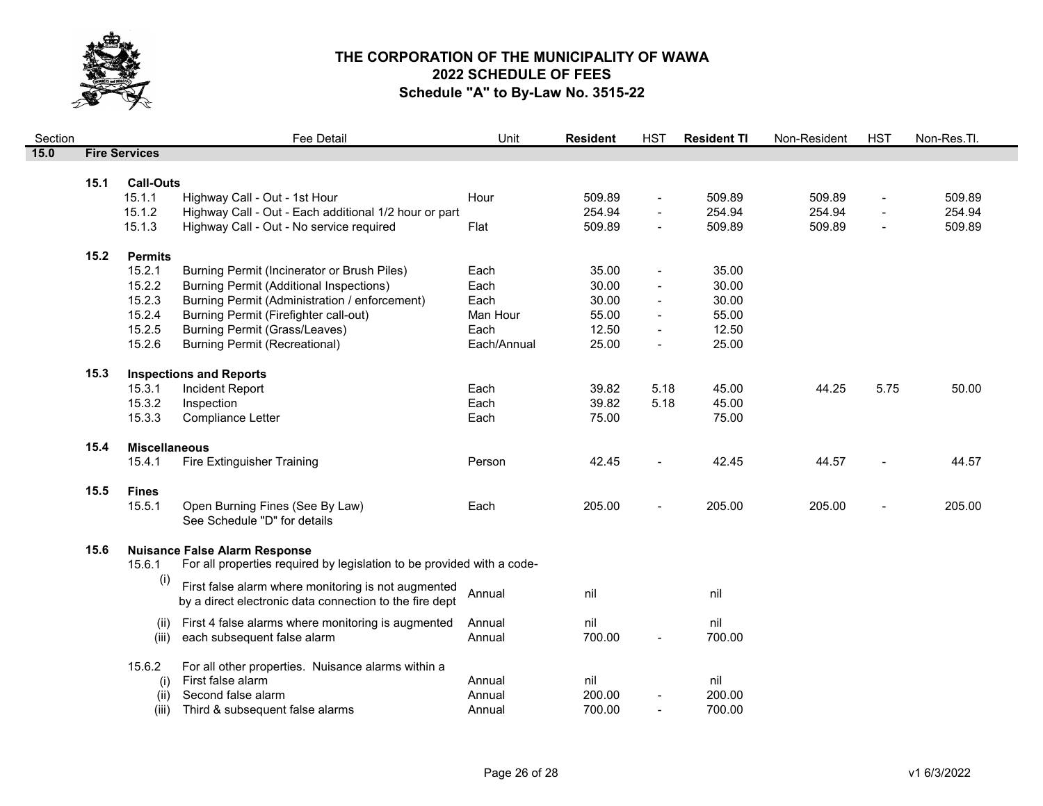

| Section |      |                      | Fee Detail                                                                                        | Unit        | <b>Resident</b>  | <b>HST</b>                       | <b>Resident TI</b> | Non-Resident     | <b>HST</b>                       | Non-Res.Tl.      |
|---------|------|----------------------|---------------------------------------------------------------------------------------------------|-------------|------------------|----------------------------------|--------------------|------------------|----------------------------------|------------------|
| 15.0    |      | <b>Fire Services</b> |                                                                                                   |             |                  |                                  |                    |                  |                                  |                  |
|         |      |                      |                                                                                                   |             |                  |                                  |                    |                  |                                  |                  |
|         | 15.1 | <b>Call-Outs</b>     |                                                                                                   |             |                  |                                  |                    |                  |                                  |                  |
|         |      | 15.1.1<br>15.1.2     | Highway Call - Out - 1st Hour                                                                     | Hour        | 509.89<br>254.94 | $\blacksquare$<br>$\blacksquare$ | 509.89<br>254.94   | 509.89<br>254.94 | $\blacksquare$<br>$\blacksquare$ | 509.89<br>254.94 |
|         |      | 15.1.3               | Highway Call - Out - Each additional 1/2 hour or part<br>Highway Call - Out - No service required | Flat        | 509.89           | $\blacksquare$                   | 509.89             | 509.89           | $\blacksquare$                   | 509.89           |
|         |      |                      |                                                                                                   |             |                  |                                  |                    |                  |                                  |                  |
|         | 15.2 | <b>Permits</b>       |                                                                                                   |             |                  |                                  |                    |                  |                                  |                  |
|         |      | 15.2.1               | Burning Permit (Incinerator or Brush Piles)                                                       | Each        | 35.00            |                                  | 35.00              |                  |                                  |                  |
|         |      | 15.2.2               | <b>Burning Permit (Additional Inspections)</b>                                                    | Each        | 30.00            |                                  | 30.00              |                  |                                  |                  |
|         |      | 15.2.3               | Burning Permit (Administration / enforcement)                                                     | Each        | 30.00            | $\blacksquare$                   | 30.00              |                  |                                  |                  |
|         |      | 15.2.4               | Burning Permit (Firefighter call-out)                                                             | Man Hour    | 55.00            |                                  | 55.00              |                  |                                  |                  |
|         |      | 15.2.5               | Burning Permit (Grass/Leaves)                                                                     | Each        | 12.50            | $\overline{a}$                   | 12.50              |                  |                                  |                  |
|         |      | 15.2.6               | <b>Burning Permit (Recreational)</b>                                                              | Each/Annual | 25.00            | $\overline{\phantom{a}}$         | 25.00              |                  |                                  |                  |
|         | 15.3 |                      | <b>Inspections and Reports</b>                                                                    |             |                  |                                  |                    |                  |                                  |                  |
|         |      | 15.3.1               | Incident Report                                                                                   | Each        | 39.82            | 5.18                             | 45.00              | 44.25            | 5.75                             | 50.00            |
|         |      | 15.3.2               | Inspection                                                                                        | Each        | 39.82            | 5.18                             | 45.00              |                  |                                  |                  |
|         |      | 15.3.3               | Compliance Letter                                                                                 | Each        | 75.00            |                                  | 75.00              |                  |                                  |                  |
|         | 15.4 | <b>Miscellaneous</b> |                                                                                                   |             |                  |                                  |                    |                  |                                  |                  |
|         |      | 15.4.1               | Fire Extinguisher Training                                                                        | Person      | 42.45            | $\overline{a}$                   | 42.45              | 44.57            |                                  | 44.57            |
|         |      |                      |                                                                                                   |             |                  |                                  |                    |                  |                                  |                  |
|         | 15.5 | <b>Fines</b>         |                                                                                                   |             |                  |                                  |                    |                  |                                  |                  |
|         |      | 15.5.1               | Open Burning Fines (See By Law)                                                                   | Each        | 205.00           |                                  | 205.00             | 205.00           |                                  | 205.00           |
|         |      |                      | See Schedule "D" for details                                                                      |             |                  |                                  |                    |                  |                                  |                  |
|         | 15.6 |                      | <b>Nuisance False Alarm Response</b>                                                              |             |                  |                                  |                    |                  |                                  |                  |
|         |      | 15.6.1               | For all properties required by legislation to be provided with a code-                            |             |                  |                                  |                    |                  |                                  |                  |
|         |      | (i)                  | First false alarm where monitoring is not augmented                                               |             |                  |                                  |                    |                  |                                  |                  |
|         |      |                      | by a direct electronic data connection to the fire dept                                           | Annual      | nil              |                                  | nil                |                  |                                  |                  |
|         |      | (ii)                 | First 4 false alarms where monitoring is augmented                                                | Annual      | nil              |                                  | nil                |                  |                                  |                  |
|         |      | (iii)                | each subsequent false alarm                                                                       | Annual      | 700.00           | $\overline{a}$                   | 700.00             |                  |                                  |                  |
|         |      | 15.6.2               | For all other properties. Nuisance alarms within a                                                |             |                  |                                  |                    |                  |                                  |                  |
|         |      | (i)                  | First false alarm                                                                                 | Annual      | nil              |                                  | nil                |                  |                                  |                  |
|         |      | (ii)                 | Second false alarm                                                                                | Annual      | 200.00           |                                  | 200.00             |                  |                                  |                  |
|         |      | (iii)                | Third & subsequent false alarms                                                                   | Annual      | 700.00           |                                  | 700.00             |                  |                                  |                  |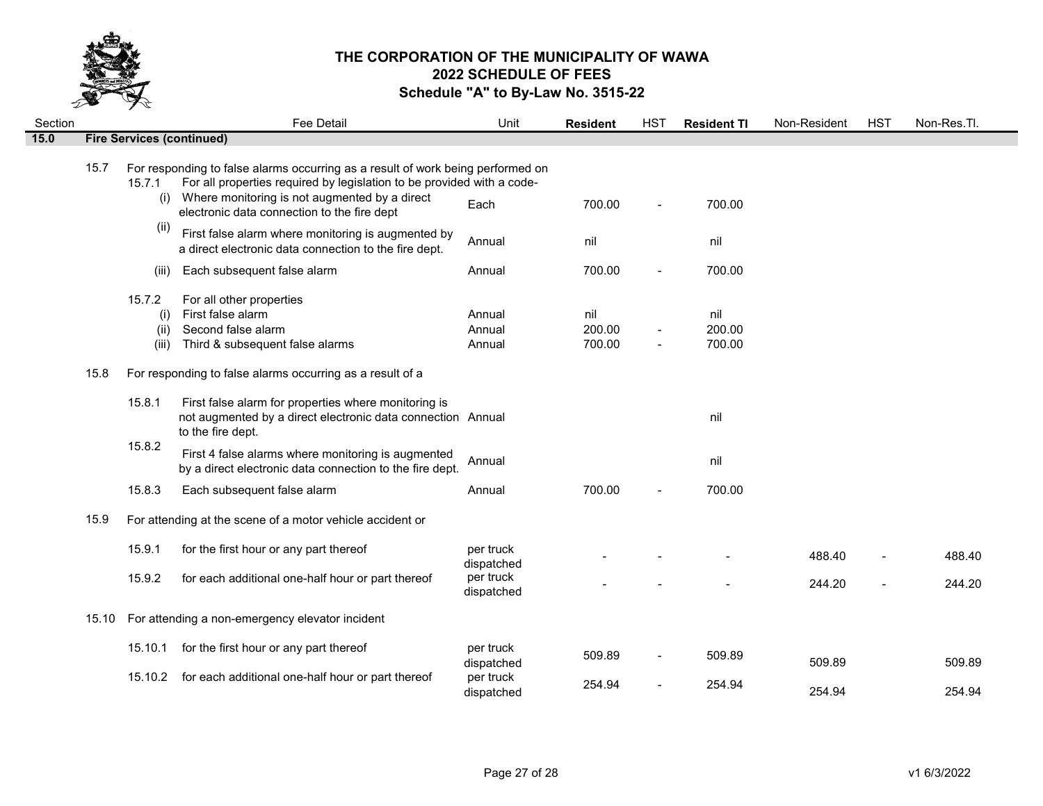

| Section |       |                                | Fee Detail                                                                                                                                                                                                                                                | Unit                       | <b>Resident</b>         | <b>HST</b>     | <b>Resident TI</b>      | Non-Resident | <b>HST</b>     | Non-Res.Tl. |
|---------|-------|--------------------------------|-----------------------------------------------------------------------------------------------------------------------------------------------------------------------------------------------------------------------------------------------------------|----------------------------|-------------------------|----------------|-------------------------|--------------|----------------|-------------|
| 15.0    |       |                                | <b>Fire Services (continued)</b>                                                                                                                                                                                                                          |                            |                         |                |                         |              |                |             |
|         | 15.7  | 15.7.1<br>(i)                  | For responding to false alarms occurring as a result of work being performed on<br>For all properties required by legislation to be provided with a code-<br>Where monitoring is not augmented by a direct<br>electronic data connection to the fire dept | Each                       | 700.00                  | $\blacksquare$ | 700.00                  |              |                |             |
|         |       | (i)                            | First false alarm where monitoring is augmented by<br>a direct electronic data connection to the fire dept.                                                                                                                                               | Annual                     | nil                     |                | nil                     |              |                |             |
|         |       | (iii)                          | Each subsequent false alarm                                                                                                                                                                                                                               | Annual                     | 700.00                  |                | 700.00                  |              |                |             |
|         |       | 15.7.2<br>(i)<br>(ii)<br>(iii) | For all other properties<br>First false alarm<br>Second false alarm<br>Third & subsequent false alarms                                                                                                                                                    | Annual<br>Annual<br>Annual | nil<br>200.00<br>700.00 | $\blacksquare$ | nil<br>200.00<br>700.00 |              |                |             |
|         | 15.8  |                                | For responding to false alarms occurring as a result of a                                                                                                                                                                                                 |                            |                         |                |                         |              |                |             |
|         |       | 15.8.1                         | First false alarm for properties where monitoring is<br>not augmented by a direct electronic data connection Annual<br>to the fire dept.                                                                                                                  |                            |                         |                | nil                     |              |                |             |
|         |       | 15.8.2                         | First 4 false alarms where monitoring is augmented<br>by a direct electronic data connection to the fire dept.                                                                                                                                            | Annual                     |                         |                | nil                     |              |                |             |
|         |       | 15.8.3                         | Each subsequent false alarm                                                                                                                                                                                                                               | Annual                     | 700.00                  |                | 700.00                  |              |                |             |
|         | 15.9  |                                | For attending at the scene of a motor vehicle accident or                                                                                                                                                                                                 |                            |                         |                |                         |              |                |             |
|         |       | 15.9.1                         | for the first hour or any part thereof                                                                                                                                                                                                                    | per truck<br>dispatched    |                         |                |                         | 488.40       |                | 488.40      |
|         |       | 15.9.2                         | for each additional one-half hour or part thereof                                                                                                                                                                                                         | per truck<br>dispatched    |                         |                |                         | 244.20       | $\overline{a}$ | 244.20      |
|         | 15.10 |                                | For attending a non-emergency elevator incident                                                                                                                                                                                                           |                            |                         |                |                         |              |                |             |
|         |       | 15.10.1                        | for the first hour or any part thereof                                                                                                                                                                                                                    | per truck<br>dispatched    | 509.89                  |                | 509.89                  | 509.89       |                | 509.89      |
|         |       | 15.10.2                        | for each additional one-half hour or part thereof                                                                                                                                                                                                         | per truck<br>dispatched    | 254.94                  |                | 254.94                  | 254.94       |                | 254.94      |